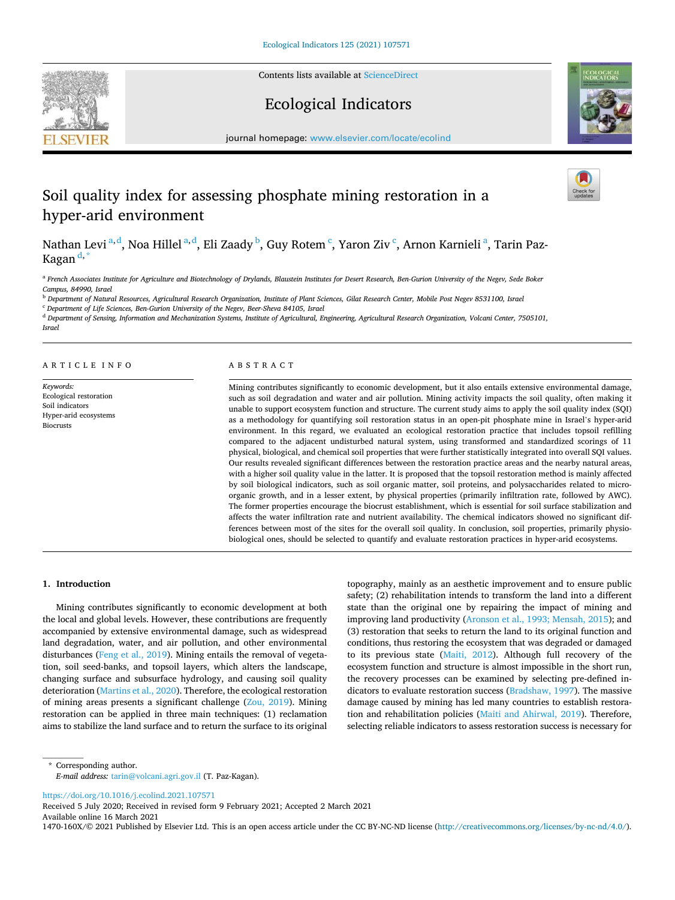Contents lists available at [ScienceDirect](www.sciencedirect.com/science/journal/1470160X)

Ecological Indicators





journal homepage: [www.elsevier.com/locate/ecolind](https://www.elsevier.com/locate/ecolind)

# Soil quality index for assessing phosphate mining restoration in a hyper-arid environment

Nathan Levi <sup>a,d</sup>, Noa Hillel <sup>a,d</sup>, Eli Zaady <sup>b</sup>, Guy Rotem <sup>c</sup>, Yaron Ziv <sup>c</sup>, Arnon Karnieli <sup>a</sup>, Tarin Paz-Kagan d,

a *French Associates Institute for Agriculture and Biotechnology of Drylands, Blaustein Institutes for Desert Research, Ben-Gurion University of the Negev, Sede Boker Campus, 84990, Israel* 

<sup>b</sup> *Department of Natural Resources, Agricultural Research Organization, Institute of Plant Sciences, Gilat Research Center, Mobile Post Negev 8531100, Israel* 

<sup>c</sup> *Department of Life Sciences, Ben-Gurion University of the Negev, Beer-Sheva 84105, Israel* 

<sup>d</sup> *Department of Sensing, Information and Mechanization Systems, Institute of Agricultural, Engineering, Agricultural Research Organization, Volcani Center, 7505101, Israel* 

A R T I C L E I N F O

*Keywords:*  Ecological restoration Soil indicators Hyper-arid ecosystems Biocrusts

#### ABSTRACT

Mining contributes significantly to economic development, but it also entails extensive environmental damage, such as soil degradation and water and air pollution. Mining activity impacts the soil quality, often making it unable to support ecosystem function and structure. The current study aims to apply the soil quality index (SQI) as a methodology for quantifying soil restoration status in an open-pit phosphate mine in Israel's hyper-arid environment. In this regard, we evaluated an ecological restoration practice that includes topsoil refilling compared to the adjacent undisturbed natural system, using transformed and standardized scorings of 11 physical, biological, and chemical soil properties that were further statistically integrated into overall SQI values. Our results revealed significant differences between the restoration practice areas and the nearby natural areas, with a higher soil quality value in the latter. It is proposed that the topsoil restoration method is mainly affected by soil biological indicators, such as soil organic matter, soil proteins, and polysaccharides related to microorganic growth, and in a lesser extent, by physical properties (primarily infiltration rate, followed by AWC). The former properties encourage the biocrust establishment, which is essential for soil surface stabilization and affects the water infiltration rate and nutrient availability. The chemical indicators showed no significant differences between most of the sites for the overall soil quality. In conclusion, soil properties, primarily physiobiological ones, should be selected to quantify and evaluate restoration practices in hyper-arid ecosystems.

#### **1. Introduction**

Mining contributes significantly to economic development at both the local and global levels. However, these contributions are frequently accompanied by extensive environmental damage, such as widespread land degradation, water, and air pollution, and other environmental disturbances [\(Feng et al., 2019](#page-11-0)). Mining entails the removal of vegetation, soil seed-banks, and topsoil layers, which alters the landscape, changing surface and subsurface hydrology, and causing soil quality deterioration [\(Martins et al., 2020\)](#page-11-0). Therefore, the ecological restoration of mining areas presents a significant challenge ([Zou, 2019\)](#page-12-0). Mining restoration can be applied in three main techniques: (1) reclamation aims to stabilize the land surface and to return the surface to its original topography, mainly as an aesthetic improvement and to ensure public safety; (2) rehabilitation intends to transform the land into a different state than the original one by repairing the impact of mining and improving land productivity ([Aronson et al., 1993; Mensah, 2015](#page-10-0)); and (3) restoration that seeks to return the land to its original function and conditions, thus restoring the ecosystem that was degraded or damaged to its previous state [\(Maiti, 2012\)](#page-11-0). Although full recovery of the ecosystem function and structure is almost impossible in the short run, the recovery processes can be examined by selecting pre-defined indicators to evaluate restoration success ([Bradshaw, 1997\)](#page-10-0). The massive damage caused by mining has led many countries to establish restoration and rehabilitation policies ([Maiti and Ahirwal, 2019\)](#page-11-0). Therefore, selecting reliable indicators to assess restoration success is necessary for

\* Corresponding author. *E-mail address:* [tarin@volcani.agri.gov.il](mailto:tarin@volcani.agri.gov.il) (T. Paz-Kagan).

<https://doi.org/10.1016/j.ecolind.2021.107571>

Available online 16 March 2021 Received 5 July 2020; Received in revised form 9 February 2021; Accepted 2 March 2021

1470-160X/© 2021 Published by Elsevier Ltd. This is an open access article under the CC BY-NC-ND license [\(http://creativecommons.org/licenses/by-nc-nd/4.0/\)](http://creativecommons.org/licenses/by-nc-nd/4.0/).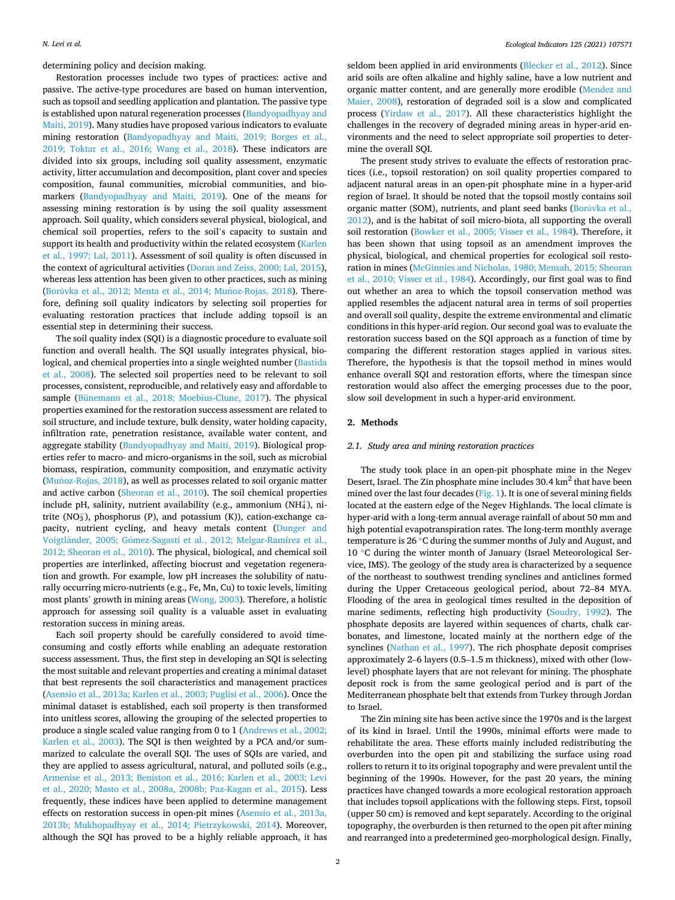determining policy and decision making.

Restoration processes include two types of practices: active and passive. The active-type procedures are based on human intervention, such as topsoil and seedling application and plantation. The passive type is established upon natural regeneration processes [\(Bandyopadhyay and](#page-10-0)  [Maiti, 2019](#page-10-0)). Many studies have proposed various indicators to evaluate mining restoration [\(Bandyopadhyay and Maiti, 2019; Borges et al.,](#page-10-0)  [2019; Toktar et al., 2016; Wang et al., 2018](#page-10-0)). These indicators are divided into six groups, including soil quality assessment, enzymatic activity, litter accumulation and decomposition, plant cover and species composition, faunal communities, microbial communities, and biomarkers ([Bandyopadhyay and Maiti, 2019\)](#page-10-0). One of the means for assessing mining restoration is by using the soil quality assessment approach. Soil quality, which considers several physical, biological, and chemical soil properties, refers to the soil's capacity to sustain and support its health and productivity within the related ecosystem ([Karlen](#page-11-0)  [et al., 1997; Lal, 2011](#page-11-0)). Assessment of soil quality is often discussed in the context of agricultural activities ([Doran and Zeiss, 2000; Lal, 2015](#page-10-0)), whereas less attention has been given to other practices, such as mining (Borůvka et al., 2012; Menta et al., 2014; Muñoz-Rojas, 2018). Therefore, defining soil quality indicators by selecting soil properties for evaluating restoration practices that include adding topsoil is an essential step in determining their success.

The soil quality index (SQI) is a diagnostic procedure to evaluate soil function and overall health. The SQI usually integrates physical, biological, and chemical properties into a single weighted number ([Bastida](#page-10-0)  [et al., 2008\)](#page-10-0). The selected soil properties need to be relevant to soil processes, consistent, reproducible, and relatively easy and affordable to sample ([Bünemann et al., 2018; Moebius-Clune, 2017](#page-10-0)). The physical properties examined for the restoration success assessment are related to soil structure, and include texture, bulk density, water holding capacity, infiltration rate, penetration resistance, available water content, and aggregate stability [\(Bandyopadhyay and Maiti, 2019](#page-10-0)). Biological properties refer to macro- and micro-organisms in the soil, such as microbial biomass, respiration, community composition, and enzymatic activity ( $Muñoz-Rojas$ ,  $2018$ ), as well as processes related to soil organic matter and active carbon [\(Sheoran et al., 2010\)](#page-11-0). The soil chemical properties include pH, salinity, nutrient availability (e.g., ammonium (NH $_4^{\rm +}$ ), nitrite (NO<sub>3</sub>), phosphorus (P), and potassium (K)), cation-exchange capacity, nutrient cycling, and heavy metals content [\(Dunger and](#page-11-0)  Voigtländer, 2005; Gómez-Sagasti et al., 2012; Melgar-Ramírez et al., [2012; Sheoran et al., 2010](#page-11-0)). The physical, biological, and chemical soil properties are interlinked, affecting biocrust and vegetation regeneration and growth. For example, low pH increases the solubility of naturally occurring micro-nutrients (e.g., Fe, Mn, Cu) to toxic levels, limiting most plants' growth in mining areas ([Wong, 2003](#page-11-0)). Therefore, a holistic approach for assessing soil quality is a valuable asset in evaluating restoration success in mining areas.

Each soil property should be carefully considered to avoid timeconsuming and costly efforts while enabling an adequate restoration success assessment. Thus, the first step in developing an SQI is selecting the most suitable and relevant properties and creating a minimal dataset that best represents the soil characteristics and management practices ([Asensio et al., 2013a; Karlen et al., 2003; Puglisi et al., 2006](#page-10-0)). Once the minimal dataset is established, each soil property is then transformed into unitless scores, allowing the grouping of the selected properties to produce a single scaled value ranging from 0 to 1 [\(Andrews et al., 2002;](#page-10-0)  [Karlen et al., 2003\)](#page-10-0). The SQI is then weighted by a PCA and/or summarized to calculate the overall SQI. The uses of SQIs are varied, and they are applied to assess agricultural, natural, and polluted soils (e.g., [Armenise et al., 2013; Beniston et al., 2016; Karlen et al., 2003; Levi](#page-10-0)  [et al., 2020; Masto et al., 2008a, 2008b; Paz-Kagan et al., 2015](#page-10-0)). Less frequently, these indices have been applied to determine management effects on restoration success in open-pit mines ([Asensio et al., 2013a,](#page-10-0)  [2013b; Mukhopadhyay et al., 2014; Pietrzykowski, 2014\)](#page-10-0). Moreover, although the SQI has proved to be a highly reliable approach, it has

seldom been applied in arid environments ([Blecker et al., 2012](#page-10-0)). Since arid soils are often alkaline and highly saline, have a low nutrient and organic matter content, and are generally more erodible [\(Mendez and](#page-11-0)  [Maier, 2008\)](#page-11-0), restoration of degraded soil is a slow and complicated process [\(Yirdaw et al., 2017](#page-11-0)). All these characteristics highlight the challenges in the recovery of degraded mining areas in hyper-arid environments and the need to select appropriate soil properties to determine the overall SQI.

The present study strives to evaluate the effects of restoration practices (i.e., topsoil restoration) on soil quality properties compared to adjacent natural areas in an open-pit phosphate mine in a hyper-arid region of Israel. It should be noted that the topsoil mostly contains soil organic matter (SOM), nutrients, and plant seed banks (Borů[vka et al.,](#page-10-0)  [2012\)](#page-10-0), and is the habitat of soil micro-biota, all supporting the overall soil restoration ([Bowker et al., 2005; Visser et al., 1984](#page-10-0)). Therefore, it has been shown that using topsoil as an amendment improves the physical, biological, and chemical properties for ecological soil restoration in mines [\(McGinnies and Nicholas, 1980; Mensah, 2015; Sheoran](#page-11-0)  [et al., 2010; Visser et al., 1984](#page-11-0)). Accordingly, our first goal was to find out whether an area to which the topsoil conservation method was applied resembles the adjacent natural area in terms of soil properties and overall soil quality, despite the extreme environmental and climatic conditions in this hyper-arid region. Our second goal was to evaluate the restoration success based on the SQI approach as a function of time by comparing the different restoration stages applied in various sites. Therefore, the hypothesis is that the topsoil method in mines would enhance overall SQI and restoration efforts, where the timespan since restoration would also affect the emerging processes due to the poor, slow soil development in such a hyper-arid environment.

## **2. Methods**

## *2.1. Study area and mining restoration practices*

The study took place in an open-pit phosphate mine in the Negev Desert, Israel. The Zin phosphate mine includes  $30.4 \text{ km}^2$  that have been mined over the last four decades ([Fig. 1](#page-2-0)). It is one of several mining fields located at the eastern edge of the Negev Highlands. The local climate is hyper-arid with a long-term annual average rainfall of about 50 mm and high potential evapotranspiration rates. The long-term monthly average temperature is 26 ◦C during the summer months of July and August, and 10 ◦C during the winter month of January (Israel Meteorological Service, IMS). The geology of the study area is characterized by a sequence of the northeast to southwest trending synclines and anticlines formed during the Upper Cretaceous geological period, about 72–84 MYA. Flooding of the area in geological times resulted in the deposition of marine sediments, reflecting high productivity ([Soudry, 1992\)](#page-11-0). The phosphate deposits are layered within sequences of charts, chalk carbonates, and limestone, located mainly at the northern edge of the synclines [\(Nathan et al., 1997](#page-11-0)). The rich phosphate deposit comprises approximately 2–6 layers (0.5–1.5 m thickness), mixed with other (lowlevel) phosphate layers that are not relevant for mining. The phosphate deposit rock is from the same geological period and is part of the Mediterranean phosphate belt that extends from Turkey through Jordan to Israel.

The Zin mining site has been active since the 1970s and is the largest of its kind in Israel. Until the 1990s, minimal efforts were made to rehabilitate the area. These efforts mainly included redistributing the overburden into the open pit and stabilizing the surface using road rollers to return it to its original topography and were prevalent until the beginning of the 1990s. However, for the past 20 years, the mining practices have changed towards a more ecological restoration approach that includes topsoil applications with the following steps. First, topsoil (upper 50 cm) is removed and kept separately. According to the original topography, the overburden is then returned to the open pit after mining and rearranged into a predetermined geo-morphological design. Finally,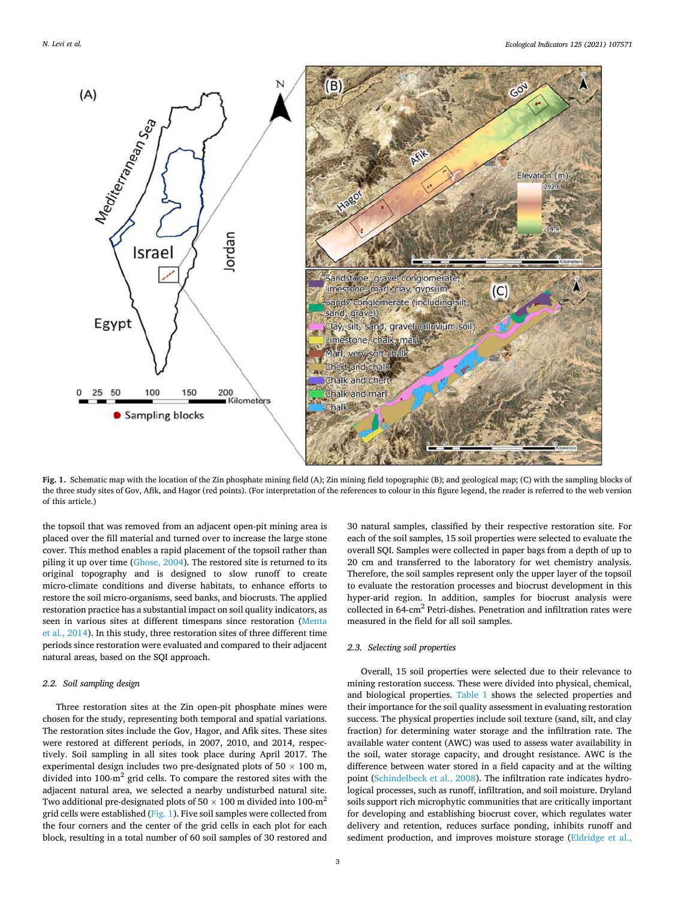<span id="page-2-0"></span>

**Fig. 1.** Schematic map with the location of the Zin phosphate mining field (A); Zin mining field topographic (B); and geological map; (C) with the sampling blocks of the three study sites of Gov, Afik, and Hagor (red points). (For interpretation of the references to colour in this figure legend, the reader is referred to the web version of this article.)

the topsoil that was removed from an adjacent open-pit mining area is placed over the fill material and turned over to increase the large stone cover. This method enables a rapid placement of the topsoil rather than piling it up over time ([Ghose, 2004\)](#page-11-0). The restored site is returned to its original topography and is designed to slow runoff to create micro-climate conditions and diverse habitats, to enhance efforts to restore the soil micro-organisms, seed banks, and biocrusts. The applied restoration practice has a substantial impact on soil quality indicators, as seen in various sites at different timespans since restoration ([Menta](#page-11-0)  [et al., 2014](#page-11-0)). In this study, three restoration sites of three different time periods since restoration were evaluated and compared to their adjacent natural areas, based on the SQI approach.

# *2.2. Soil sampling design*

Three restoration sites at the Zin open-pit phosphate mines were chosen for the study, representing both temporal and spatial variations. The restoration sites include the Gov, Hagor, and Afik sites. These sites were restored at different periods, in 2007, 2010, and 2014, respectively. Soil sampling in all sites took place during April 2017. The experimental design includes two pre-designated plots of  $50 \times 100$  m, divided into  $100\text{-m}^2$  grid cells. To compare the restored sites with the adjacent natural area, we selected a nearby undisturbed natural site. Two additional pre-designated plots of 50  $\times$  100 m divided into 100-m<sup>2</sup> grid cells were established (Fig. 1). Five soil samples were collected from the four corners and the center of the grid cells in each plot for each block, resulting in a total number of 60 soil samples of 30 restored and 30 natural samples, classified by their respective restoration site. For each of the soil samples, 15 soil properties were selected to evaluate the overall SQI. Samples were collected in paper bags from a depth of up to 20 cm and transferred to the laboratory for wet chemistry analysis. Therefore, the soil samples represent only the upper layer of the topsoil to evaluate the restoration processes and biocrust development in this hyper-arid region. In addition, samples for biocrust analysis were collected in 64-cm<sup>2</sup> Petri-dishes. Penetration and infiltration rates were measured in the field for all soil samples.

## *2.3. Selecting soil properties*

Overall, 15 soil properties were selected due to their relevance to mining restoration success. These were divided into physical, chemical, and biological properties. [Table 1](#page-3-0) shows the selected properties and their importance for the soil quality assessment in evaluating restoration success. The physical properties include soil texture (sand, silt, and clay fraction) for determining water storage and the infiltration rate. The available water content (AWC) was used to assess water availability in the soil, water storage capacity, and drought resistance. AWC is the difference between water stored in a field capacity and at the wilting point ([Schindelbeck et al., 2008\)](#page-11-0). The infiltration rate indicates hydrological processes, such as runoff, infiltration, and soil moisture. Dryland soils support rich microphytic communities that are critically important for developing and establishing biocrust cover, which regulates water delivery and retention, reduces surface ponding, inhibits runoff and sediment production, and improves moisture storage (Eldridge et al.,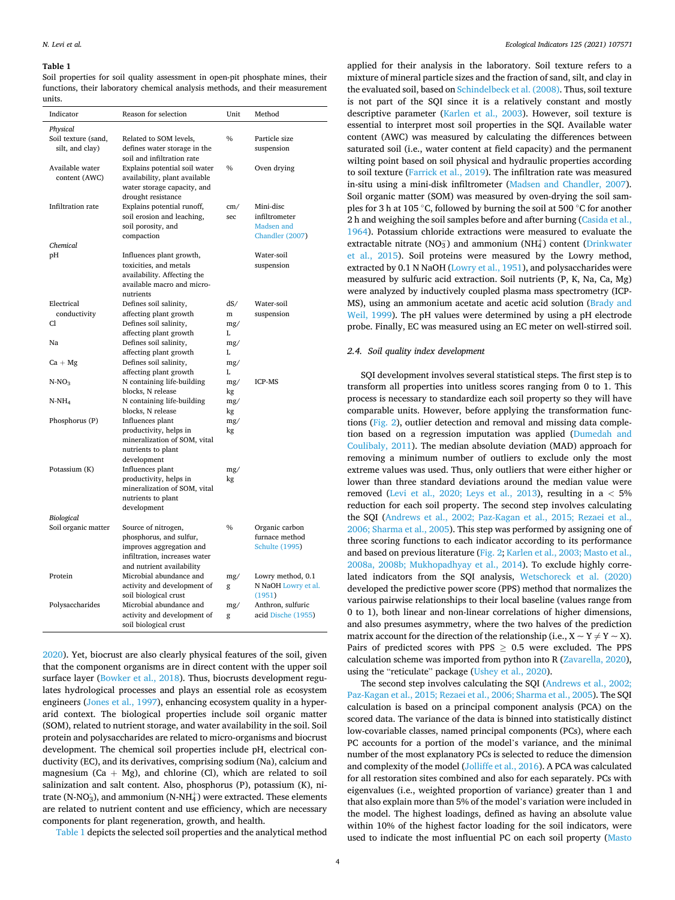#### <span id="page-3-0"></span>**Table 1**

Soil properties for soil quality assessment in open-pit phosphate mines, their functions, their laboratory chemical analysis methods, and their measurement units.

| Indicator           | Reason for selection          | Unit          | Method                |
|---------------------|-------------------------------|---------------|-----------------------|
| Physical            |                               |               |                       |
| Soil texture (sand, | Related to SOM levels,        | $\frac{0}{0}$ | Particle size         |
| silt, and clay)     | defines water storage in the  |               | suspension            |
|                     | soil and infiltration rate    |               |                       |
| Available water     | Explains potential soil water | $\%$          | Oven drying           |
| content (AWC)       | availability, plant available |               |                       |
|                     | water storage capacity, and   |               |                       |
|                     | drought resistance            |               |                       |
| Infiltration rate   | Explains potential runoff,    | cm/           | Mini-disc             |
|                     | soil erosion and leaching,    | sec           | infiltrometer         |
|                     | soil porosity, and            |               | Madsen and            |
|                     | compaction                    |               | Chandler (2007)       |
| Chemical            |                               |               |                       |
| рH                  | Influences plant growth,      |               | Water-soil            |
|                     | toxicities, and metals        |               | suspension            |
|                     | availability. Affecting the   |               |                       |
|                     | available macro and micro-    |               |                       |
|                     | nutrients                     |               |                       |
| Electrical          | Defines soil salinity,        | dS/           | Water-soil            |
| conductivity        | affecting plant growth        | m             | suspension            |
| Cl                  | Defines soil salinity,        | mg/           |                       |
|                     | affecting plant growth        | L             |                       |
| Na                  | Defines soil salinity,        | mg/           |                       |
|                     | affecting plant growth        | L             |                       |
| $Ca + Mg$           | Defines soil salinity,        | mg/           |                       |
|                     | affecting plant growth        | L             |                       |
| $N-NO_3$            | N containing life-building    | mg/           | <b>ICP-MS</b>         |
|                     | blocks, N release             | kg            |                       |
| $N-NH_4$            | N containing life-building    | mg/           |                       |
|                     | blocks, N release             | kg            |                       |
| Phosphorus (P)      | Influences plant              | mg/           |                       |
|                     | productivity, helps in        | kg            |                       |
|                     | mineralization of SOM, vital  |               |                       |
|                     | nutrients to plant            |               |                       |
|                     | development                   |               |                       |
| Potassium (K)       | Influences plant              | mg/           |                       |
|                     | productivity, helps in        | kg            |                       |
|                     | mineralization of SOM, vital  |               |                       |
|                     | nutrients to plant            |               |                       |
| Biological          | development                   |               |                       |
| Soil organic matter | Source of nitrogen,           | $\frac{0}{0}$ | Organic carbon        |
|                     | phosphorus, and sulfur,       |               | furnace method        |
|                     | improves aggregation and      |               | <b>Schulte (1995)</b> |
|                     | infiltration, increases water |               |                       |
|                     | and nutrient availability     |               |                       |
| Protein             | Microbial abundance and       | mg/           | Lowry method, 0.1     |
|                     | activity and development of   | g             | N NaOH Lowry et al.   |
|                     | soil biological crust         |               | (1951)                |
| Polysaccharides     | Microbial abundance and       | mg/           | Anthron, sulfuric     |
|                     | activity and development of   | g             | acid Dische (1955)    |
|                     | soil biological crust         |               |                       |

[2020\)](#page-11-0). Yet, biocrust are also clearly physical features of the soil, given that the component organisms are in direct content with the upper soil surface layer ([Bowker et al., 2018](#page-10-0)). Thus, biocrusts development regulates hydrological processes and plays an essential role as ecosystem engineers ([Jones et al., 1997\)](#page-11-0), enhancing ecosystem quality in a hyperarid context. The biological properties include soil organic matter (SOM), related to nutrient storage, and water availability in the soil. Soil protein and polysaccharides are related to micro-organisms and biocrust development. The chemical soil properties include pH, electrical conductivity (EC), and its derivatives, comprising sodium (Na), calcium and magnesium (Ca  $+$  Mg), and chlorine (Cl), which are related to soil salinization and salt content. Also, phosphorus (P), potassium (K), nitrate (N-NO<sub>3</sub>), and ammonium (N-NH $_4^+$ ) were extracted. These elements are related to nutrient content and use efficiency, which are necessary components for plant regeneration, growth, and health.

Table 1 depicts the selected soil properties and the analytical method

applied for their analysis in the laboratory. Soil texture refers to a mixture of mineral particle sizes and the fraction of sand, silt, and clay in the evaluated soil, based on [Schindelbeck et al. \(2008\)](#page-11-0). Thus, soil texture is not part of the SQI since it is a relatively constant and mostly descriptive parameter ([Karlen et al., 2003](#page-11-0)). However, soil texture is essential to interpret most soil properties in the SQI. Available water content (AWC) was measured by calculating the differences between saturated soil (i.e., water content at field capacity) and the permanent wilting point based on soil physical and hydraulic properties according to soil texture ([Farrick et al., 2019](#page-11-0)). The infiltration rate was measured in-situ using a mini-disk infiltrometer ([Madsen and Chandler, 2007](#page-11-0)). Soil organic matter (SOM) was measured by oven-drying the soil samples for 3 h at 105 ◦C, followed by burning the soil at 500 ◦C for another 2 h and weighing the soil samples before and after burning ([Casida et al.,](#page-10-0)  [1964\)](#page-10-0). Potassium chloride extractions were measured to evaluate the extractable nitrate (NO<sub>3</sub>) and ammonium (NH<sub>4</sub>) content (Drinkwater [et al., 2015](#page-11-0)). Soil proteins were measured by the Lowry method, extracted by 0.1 N NaOH [\(Lowry et al., 1951](#page-11-0)), and polysaccharides were measured by sulfuric acid extraction. Soil nutrients (P, K, Na, Ca, Mg) were analyzed by inductively coupled plasma mass spectrometry (ICP-MS), using an ammonium acetate and acetic acid solution ([Brady and](#page-10-0)  [Weil, 1999\)](#page-10-0). The pH values were determined by using a pH electrode probe. Finally, EC was measured using an EC meter on well-stirred soil.

## *2.4. Soil quality index development*

SQI development involves several statistical steps. The first step is to transform all properties into unitless scores ranging from 0 to 1. This process is necessary to standardize each soil property so they will have comparable units. However, before applying the transformation functions [\(Fig. 2\)](#page-4-0), outlier detection and removal and missing data completion based on a regression imputation was applied [\(Dumedah and](#page-11-0)  [Coulibaly, 2011](#page-11-0)). The median absolute deviation (MAD) approach for removing a minimum number of outliers to exclude only the most extreme values was used. Thus, only outliers that were either higher or lower than three standard deviations around the median value were removed [\(Levi et al., 2020; Leys et al., 2013](#page-11-0)), resulting in a *<* 5% reduction for each soil property. The second step involves calculating the SQI [\(Andrews et al., 2002; Paz-Kagan et al., 2015; Rezaei et al.,](#page-10-0)  [2006; Sharma et al., 2005\)](#page-10-0). This step was performed by assigning one of three scoring functions to each indicator according to its performance and based on previous literature ([Fig. 2](#page-4-0); [Karlen et al., 2003; Masto et al.,](#page-11-0)  [2008a, 2008b; Mukhopadhyay et al., 2014](#page-11-0)). To exclude highly correlated indicators from the SQI analysis, [Wetschoreck et al. \(2020\)](#page-11-0)  developed the predictive power score (PPS) method that normalizes the various pairwise relationships to their local baseline (values range from 0 to 1), both linear and non-linear correlations of higher dimensions, and also presumes asymmetry, where the two halves of the prediction matrix account for the direction of the relationship (i.e.,  $X \sim Y \neq Y \sim X$ ). Pairs of predicted scores with  $PPS > 0.5$  were excluded. The PPS calculation scheme was imported from python into R [\(Zavarella, 2020](#page-12-0)), using the "reticulate" package [\(Ushey et al., 2020\)](#page-11-0).

The second step involves calculating the SQI ([Andrews et al., 2002;](#page-10-0)  [Paz-Kagan et al., 2015; Rezaei et al., 2006; Sharma et al., 2005](#page-10-0)). The SQI calculation is based on a principal component analysis (PCA) on the scored data. The variance of the data is binned into statistically distinct low-covariable classes, named principal components (PCs), where each PC accounts for a portion of the model's variance, and the minimal number of the most explanatory PCs is selected to reduce the dimension and complexity of the model [\(Jolliffe et al., 2016\)](#page-11-0). A PCA was calculated for all restoration sites combined and also for each separately. PCs with eigenvalues (i.e., weighted proportion of variance) greater than 1 and that also explain more than 5% of the model's variation were included in the model. The highest loadings, defined as having an absolute value within 10% of the highest factor loading for the soil indicators, were used to indicate the most influential PC on each soil property [\(Masto](#page-11-0)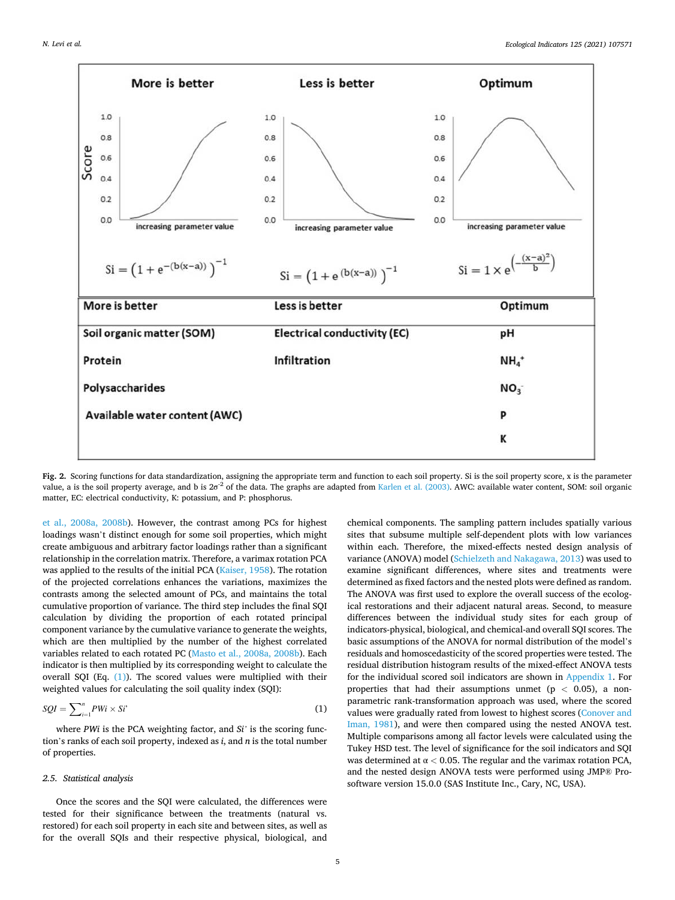<span id="page-4-0"></span>

**Fig. 2.** Scoring functions for data standardization, assigning the appropriate term and function to each soil property. Si is the soil property score, x is the parameter value, a is the soil property average, and b is  $2\sigma^2$  of the data. The graphs are adapted from [Karlen et al. \(2003\).](#page-11-0) AWC: available water content, SOM: soil organic matter, EC: electrical conductivity, K: potassium, and P: phosphorus.

[et al., 2008a, 2008b\)](#page-11-0). However, the contrast among PCs for highest loadings wasn't distinct enough for some soil properties, which might create ambiguous and arbitrary factor loadings rather than a significant relationship in the correlation matrix. Therefore, a varimax rotation PCA was applied to the results of the initial PCA ([Kaiser, 1958\)](#page-11-0). The rotation of the projected correlations enhances the variations, maximizes the contrasts among the selected amount of PCs, and maintains the total cumulative proportion of variance. The third step includes the final SQI calculation by dividing the proportion of each rotated principal component variance by the cumulative variance to generate the weights, which are then multiplied by the number of the highest correlated variables related to each rotated PC [\(Masto et al., 2008a, 2008b](#page-11-0)). Each indicator is then multiplied by its corresponding weight to calculate the overall SQI (Eq.  $(1)$ ). The scored values were multiplied with their weighted values for calculating the soil quality index (SQI):

$$
SQL = \sum_{i=1}^{n} PWi \times Si^{\prime}
$$
 (1)

where *PWi* is the PCA weighting factor, and *Si'* is the scoring function's ranks of each soil property, indexed as *i*, and *n* is the total number of properties.

## *2.5. Statistical analysis*

Once the scores and the SQI were calculated, the differences were tested for their significance between the treatments (natural vs. restored) for each soil property in each site and between sites, as well as for the overall SQIs and their respective physical, biological, and

chemical components. The sampling pattern includes spatially various sites that subsume multiple self-dependent plots with low variances within each. Therefore, the mixed-effects nested design analysis of variance (ANOVA) model ([Schielzeth and Nakagawa, 2013](#page-11-0)) was used to examine significant differences, where sites and treatments were determined as fixed factors and the nested plots were defined as random. The ANOVA was first used to explore the overall success of the ecological restorations and their adjacent natural areas. Second, to measure differences between the individual study sites for each group of indicators-physical, biological, and chemical-and overall SQI scores. The basic assumptions of the ANOVA for normal distribution of the model's residuals and homoscedasticity of the scored properties were tested. The residual distribution histogram results of the mixed-effect ANOVA tests for the individual scored soil indicators are shown in Appendix 1. For properties that had their assumptions unmet (p *<* 0.05), a nonparametric rank-transformation approach was used, where the scored values were gradually rated from lowest to highest scores [\(Conover and](#page-10-0)  [Iman, 1981\)](#page-10-0), and were then compared using the nested ANOVA test. Multiple comparisons among all factor levels were calculated using the Tukey HSD test. The level of significance for the soil indicators and SQI was determined at α *<* 0.05. The regular and the varimax rotation PCA, and the nested design ANOVA tests were performed using JMP® Prosoftware version 15.0.0 (SAS Institute Inc., Cary, NC, USA).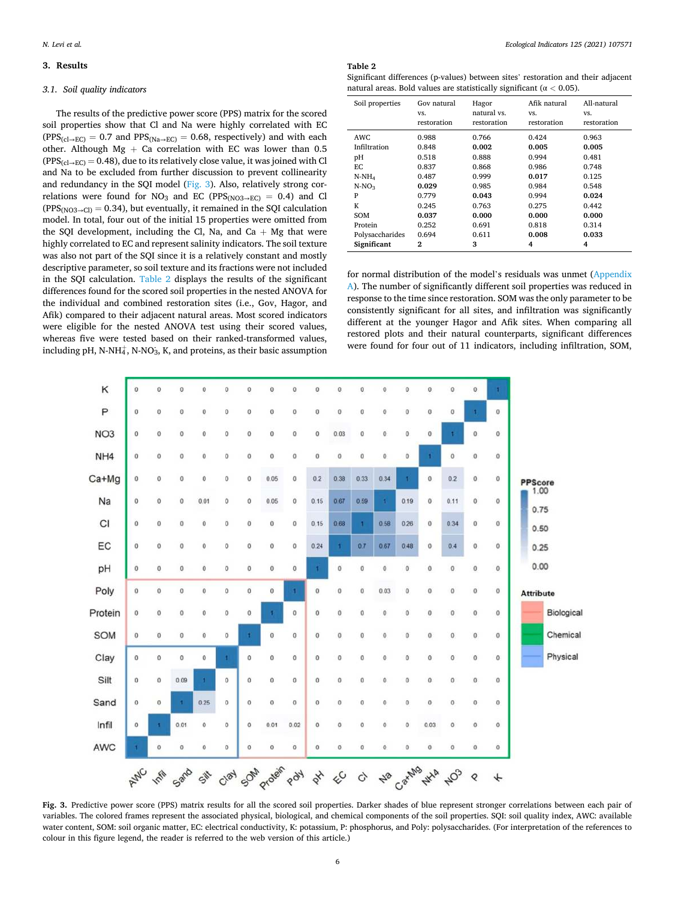## **3. Results**

## *3.1. Soil quality indicators*

The results of the predictive power score (PPS) matrix for the scored soil properties show that Cl and Na were highly correlated with EC  $(PPS_{(cl \rightarrow EC)} = 0.7$  and  $PPS_{(Na \rightarrow EC)} = 0.68$ , respectively) and with each other. Although  $Mg + Ca$  correlation with EC was lower than 0.5  $(PPS_{(c) \rightarrow EC)} = 0.48$ , due to its relatively close value, it was joined with Cl and Na to be excluded from further discussion to prevent collinearity and redundancy in the SQI model (Fig. 3). Also, relatively strong correlations were found for NO<sub>3</sub> and EC (PPS<sub>(NO3→EC)</sub> = 0.4) and Cl  $(PPS<sub>(NO3\rightarrow Cl)</sub> = 0.34)$ , but eventually, it remained in the SQI calculation model. In total, four out of the initial 15 properties were omitted from the SQI development, including the Cl, Na, and Ca  $+$  Mg that were highly correlated to EC and represent salinity indicators. The soil texture was also not part of the SQI since it is a relatively constant and mostly descriptive parameter, so soil texture and its fractions were not included in the SQI calculation. Table 2 displays the results of the significant differences found for the scored soil properties in the nested ANOVA for the individual and combined restoration sites (i.e., Gov, Hagor, and Afik) compared to their adjacent natural areas. Most scored indicators were eligible for the nested ANOVA test using their scored values, whereas five were tested based on their ranked-transformed values, including pH, N-NH $_4^+$ , N-NO $_3^{\circ}$ , K, and proteins, as their basic assumption **Table 2** 

Significant differences (p-values) between sites' restoration and their adjacent natural areas. Bold values are statistically significant (α *<* 0.05).

| Soil properties | Gov natural | Hagor       | Afik natural | All-natural |
|-----------------|-------------|-------------|--------------|-------------|
|                 | VS.         | natural vs. | VS.          | VS.         |
|                 | restoration | restoration | restoration  | restoration |
| AWC.            | 0.988       | 0.766       | 0.424        | 0.963       |
| Infiltration    | 0.848       | 0.002       | 0.005        | 0.005       |
| pH              | 0.518       | 0.888       | 0.994        | 0.481       |
| EC.             | 0.837       | 0.868       | 0.986        | 0.748       |
| $N-NH_4$        | 0.487       | 0.999       | 0.017        | 0.125       |
| $N-NO3$         | 0.029       | 0.985       | 0.984        | 0.548       |
| P               | 0.779       | 0.043       | 0.994        | 0.024       |
| K               | 0.245       | 0.763       | 0.275        | 0.442       |
| SOM             | 0.037       | 0.000       | 0.000        | 0.000       |
| Protein         | 0.252       | 0.691       | 0.818        | 0.314       |
| Polysaccharides | 0.694       | 0.611       | 0.008        | 0.033       |
| Significant     | 2           | 3           | 4            | 4           |

for normal distribution of the model's residuals was unmet (Appendix A). The number of significantly different soil properties was reduced in response to the time since restoration. SOM was the only parameter to be consistently significant for all sites, and infiltration was significantly different at the younger Hagor and Afik sites. When comparing all restored plots and their natural counterparts, significant differences were found for four out of 11 indicators, including infiltration, SOM,



**Fig. 3.** Predictive power score (PPS) matrix results for all the scored soil properties. Darker shades of blue represent stronger correlations between each pair of variables. The colored frames represent the associated physical, biological, and chemical components of the soil properties. SQI: soil quality index, AWC: available water content, SOM: soil organic matter, EC: electrical conductivity, K: potassium, P: phosphorus, and Poly: polysaccharides. (For interpretation of the references to colour in this figure legend, the reader is referred to the web version of this article.)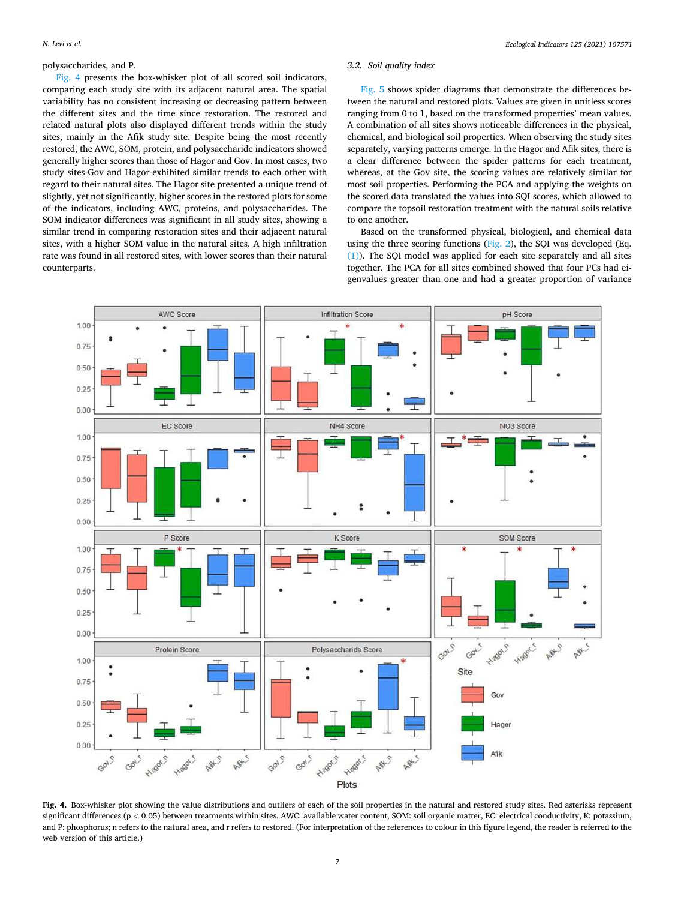# polysaccharides, and P.

Fig. 4 presents the box-whisker plot of all scored soil indicators, comparing each study site with its adjacent natural area. The spatial variability has no consistent increasing or decreasing pattern between the different sites and the time since restoration. The restored and related natural plots also displayed different trends within the study sites, mainly in the Afik study site. Despite being the most recently restored, the AWC, SOM, protein, and polysaccharide indicators showed generally higher scores than those of Hagor and Gov. In most cases, two study sites-Gov and Hagor-exhibited similar trends to each other with regard to their natural sites. The Hagor site presented a unique trend of slightly, yet not significantly, higher scores in the restored plots for some of the indicators, including AWC, proteins, and polysaccharides. The SOM indicator differences was significant in all study sites, showing a similar trend in comparing restoration sites and their adjacent natural sites, with a higher SOM value in the natural sites. A high infiltration rate was found in all restored sites, with lower scores than their natural counterparts.

## *3.2. Soil quality index*

[Fig. 5](#page-7-0) shows spider diagrams that demonstrate the differences between the natural and restored plots. Values are given in unitless scores ranging from 0 to 1, based on the transformed properties' mean values. A combination of all sites shows noticeable differences in the physical, chemical, and biological soil properties. When observing the study sites separately, varying patterns emerge. In the Hagor and Afik sites, there is a clear difference between the spider patterns for each treatment, whereas, at the Gov site, the scoring values are relatively similar for most soil properties. Performing the PCA and applying the weights on the scored data translated the values into SQI scores, which allowed to compare the topsoil restoration treatment with the natural soils relative to one another.

Based on the transformed physical, biological, and chemical data using the three scoring functions [\(Fig. 2\)](#page-4-0), the SQI was developed (Eq. [\(1\)](#page-4-0)). The SQI model was applied for each site separately and all sites together. The PCA for all sites combined showed that four PCs had eigenvalues greater than one and had a greater proportion of variance



**Fig. 4.** Box-whisker plot showing the value distributions and outliers of each of the soil properties in the natural and restored study sites. Red asterisks represent significant differences (p < 0.05) between treatments within sites. AWC: available water content, SOM: soil organic matter, EC: electrical conductivity, K: potassium, and P: phosphorus; n refers to the natural area, and r refers to restored. (For interpretation of the references to colour in this figure legend, the reader is referred to the web version of this article.)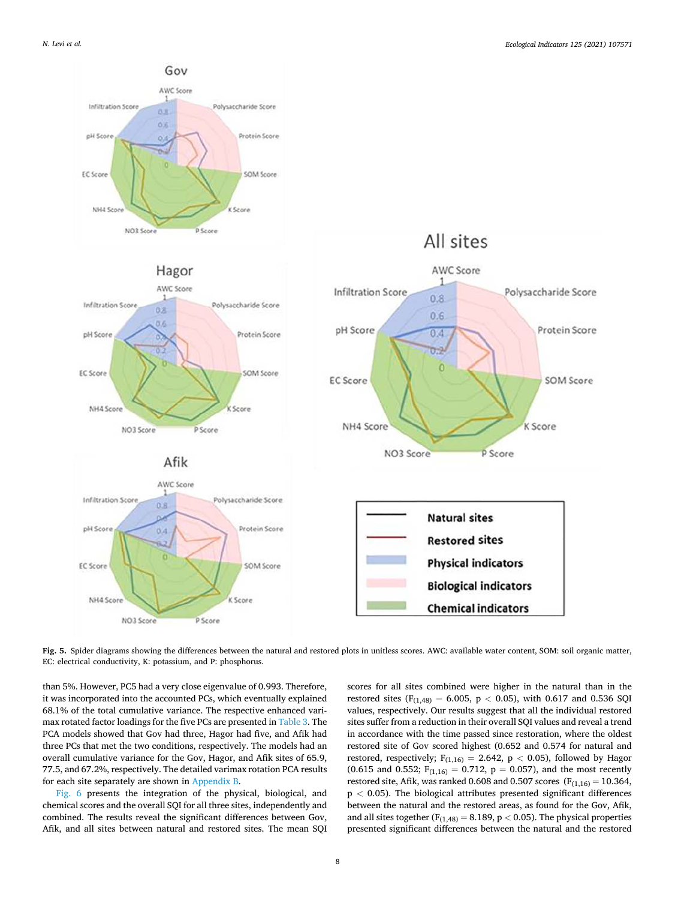<span id="page-7-0"></span>

**Fig. 5.** Spider diagrams showing the differences between the natural and restored plots in unitless scores. AWC: available water content, SOM: soil organic matter, EC: electrical conductivity, K: potassium, and P: phosphorus.

than 5%. However, PC5 had a very close eigenvalue of 0.993. Therefore, it was incorporated into the accounted PCs, which eventually explained 68.1% of the total cumulative variance. The respective enhanced varimax rotated factor loadings for the five PCs are presented in [Table 3.](#page-8-0) The PCA models showed that Gov had three, Hagor had five, and Afik had three PCs that met the two conditions, respectively. The models had an overall cumulative variance for the Gov, Hagor, and Afik sites of 65.9, 77.5, and 67.2%, respectively. The detailed varimax rotation PCA results for each site separately are shown in Appendix B.

[Fig. 6](#page-8-0) presents the integration of the physical, biological, and chemical scores and the overall SQI for all three sites, independently and combined. The results reveal the significant differences between Gov, Afik, and all sites between natural and restored sites. The mean SQI

scores for all sites combined were higher in the natural than in the restored sites ( $F_{(1,48)} = 6.005$ ,  $p < 0.05$ ), with 0.617 and 0.536 SQI values, respectively. Our results suggest that all the individual restored sites suffer from a reduction in their overall SQI values and reveal a trend in accordance with the time passed since restoration, where the oldest restored site of Gov scored highest (0.652 and 0.574 for natural and restored, respectively;  $F_{(1,16)} = 2.642$ ,  $p < 0.05$ ), followed by Hagor (0.615 and 0.552;  $F_{(1,16)} = 0.712$ ,  $p = 0.057$ ), and the most recently restored site, Afik, was ranked 0.608 and 0.507 scores ( $F_{(1,16)} = 10.364$ , p *<* 0.05). The biological attributes presented significant differences between the natural and the restored areas, as found for the Gov, Afik, and all sites together ( $F_{(1,48)} = 8.189$ ,  $p < 0.05$ ). The physical properties presented significant differences between the natural and the restored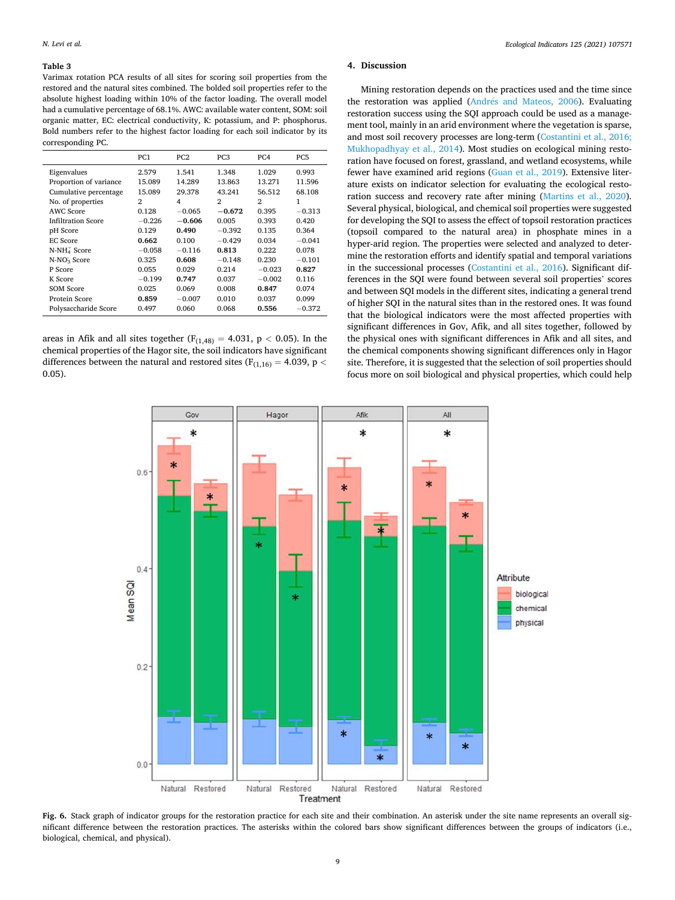#### <span id="page-8-0"></span>**Table 3**

Varimax rotation PCA results of all sites for scoring soil properties from the restored and the natural sites combined. The bolded soil properties refer to the absolute highest loading within 10% of the factor loading. The overall model had a cumulative percentage of 68.1%. AWC: available water content, SOM: soil organic matter, EC: electrical conductivity, K: potassium, and P: phosphorus. Bold numbers refer to the highest factor loading for each soil indicator by its corresponding PC.

|                           | PC1      | PC <sub>2</sub> | PC <sub>3</sub> | PC4      | PC5      |
|---------------------------|----------|-----------------|-----------------|----------|----------|
| Eigenvalues               | 2.579    | 1.541           | 1.348           | 1.029    | 0.993    |
| Proportion of variance    | 15.089   | 14.289          | 13.863          | 13.271   | 11.596   |
| Cumulative percentage     | 15.089   | 29.378          | 43.241          | 56.512   | 68.108   |
| No. of properties         | 2        | 4               | 2               | 2        | 1        |
| AWC Score                 | 0.128    | $-0.065$        | $-0.672$        | 0.395    | $-0.313$ |
| <b>Infiltration Score</b> | $-0.226$ | $-0.606$        | 0.005           | 0.393    | 0.420    |
| pH Score                  | 0.129    | 0.490           | $-0.392$        | 0.135    | 0.364    |
| <b>EC Score</b>           | 0.662    | 0.100           | $-0.429$        | 0.034    | $-0.041$ |
| N-NH <sub>4</sub> Score   | $-0.058$ | $-0.116$        | 0.813           | 0.222    | 0.078    |
| N-NO <sub>3</sub> Score   | 0.325    | 0.608           | $-0.148$        | 0.230    | $-0.101$ |
| P Score                   | 0.055    | 0.029           | 0.214           | $-0.023$ | 0.827    |
| K Score                   | $-0.199$ | 0.747           | 0.037           | $-0.002$ | 0.116    |
| <b>SOM Score</b>          | 0.025    | 0.069           | 0.008           | 0.847    | 0.074    |
| Protein Score             | 0.859    | $-0.007$        | 0.010           | 0.037    | 0.099    |
| Polysaccharide Score      | 0.497    | 0.060           | 0.068           | 0.556    | $-0.372$ |

areas in Afik and all sites together  $(F_{(1,48)} = 4.031, p < 0.05)$ . In the chemical properties of the Hagor site, the soil indicators have significant differences between the natural and restored sites ( $F_{(1,16)} = 4.039$ ,  $p <$ 0.05).

#### **4. Discussion**

Mining restoration depends on the practices used and the time since the restoration was applied (Andrés and Mateos, 2006). Evaluating restoration success using the SQI approach could be used as a management tool, mainly in an arid environment where the vegetation is sparse, and most soil recovery processes are long-term [\(Costantini et al., 2016;](#page-10-0)  [Mukhopadhyay et al., 2014](#page-10-0)). Most studies on ecological mining restoration have focused on forest, grassland, and wetland ecosystems, while fewer have examined arid regions ([Guan et al., 2019](#page-11-0)). Extensive literature exists on indicator selection for evaluating the ecological restoration success and recovery rate after mining [\(Martins et al., 2020](#page-11-0)). Several physical, biological, and chemical soil properties were suggested for developing the SQI to assess the effect of topsoil restoration practices (topsoil compared to the natural area) in phosphate mines in a hyper-arid region. The properties were selected and analyzed to determine the restoration efforts and identify spatial and temporal variations in the successional processes [\(Costantini et al., 2016\)](#page-10-0). Significant differences in the SQI were found between several soil properties' scores and between SQI models in the different sites, indicating a general trend of higher SQI in the natural sites than in the restored ones. It was found that the biological indicators were the most affected properties with significant differences in Gov, Afik, and all sites together, followed by the physical ones with significant differences in Afik and all sites, and the chemical components showing significant differences only in Hagor site. Therefore, it is suggested that the selection of soil properties should focus more on soil biological and physical properties, which could help



**Fig. 6.** Stack graph of indicator groups for the restoration practice for each site and their combination. An asterisk under the site name represents an overall significant difference between the restoration practices. The asterisks within the colored bars show significant differences between the groups of indicators (i.e., biological, chemical, and physical).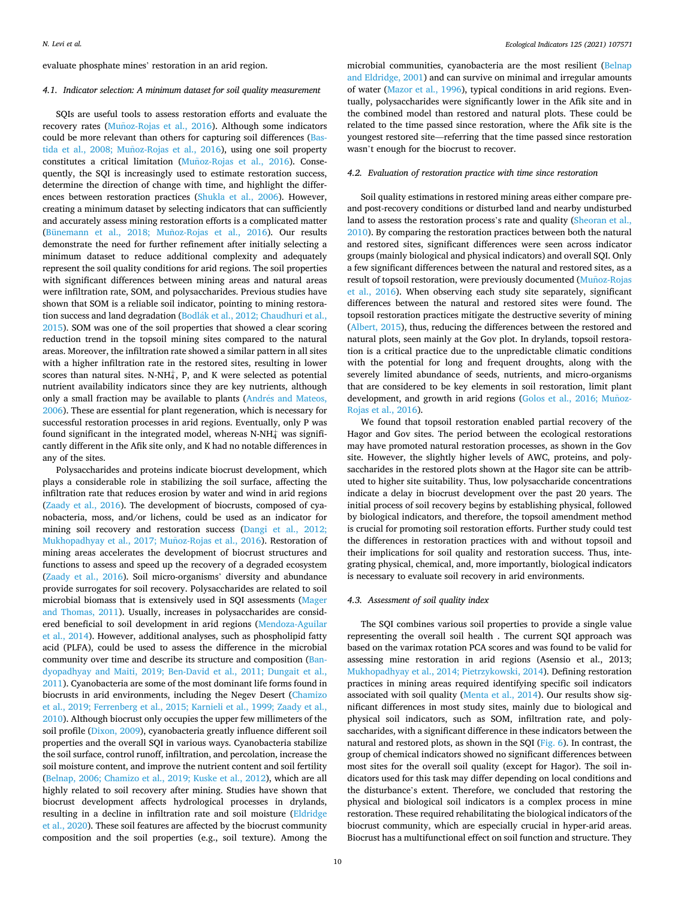evaluate phosphate mines' restoration in an arid region.

## *4.1. Indicator selection: A minimum dataset for soil quality measurement*

SQIs are useful tools to assess restoration efforts and evaluate the recovery rates (Muñoz-Rojas et al., 2016). Although some indicators could be more relevant than others for capturing soil differences [\(Bas](#page-10-0)tida et al., 2008; Muñoz-Rojas et al., 2016), using one soil property constitutes a critical limitation (Muñoz-Rojas et al., 2016). Consequently, the SQI is increasingly used to estimate restoration success, determine the direction of change with time, and highlight the differences between restoration practices ([Shukla et al., 2006\)](#page-11-0). However, creating a minimum dataset by selecting indicators that can sufficiently and accurately assess mining restoration efforts is a complicated matter (Bünemann et al., 2018; Muñoz-Rojas et al., 2016). Our results demonstrate the need for further refinement after initially selecting a minimum dataset to reduce additional complexity and adequately represent the soil quality conditions for arid regions. The soil properties with significant differences between mining areas and natural areas were infiltration rate, SOM, and polysaccharides. Previous studies have shown that SOM is a reliable soil indicator, pointing to mining restoration success and land degradation (Bodlák et al., 2012; Chaudhuri et al., [2015\)](#page-10-0). SOM was one of the soil properties that showed a clear scoring reduction trend in the topsoil mining sites compared to the natural areas. Moreover, the infiltration rate showed a similar pattern in all sites with a higher infiltration rate in the restored sites, resulting in lower scores than natural sites. N-NH $_4^+$ , P, and K were selected as potential nutrient availability indicators since they are key nutrients, although only a small fraction may be available to plants (Andrés and Mateos, [2006\)](#page-10-0). These are essential for plant regeneration, which is necessary for successful restoration processes in arid regions. Eventually, only P was found significant in the integrated model, whereas N-NH $_4^+$  was significantly different in the Afik site only, and K had no notable differences in any of the sites.

Polysaccharides and proteins indicate biocrust development, which plays a considerable role in stabilizing the soil surface, affecting the infiltration rate that reduces erosion by water and wind in arid regions ([Zaady et al., 2016](#page-12-0)). The development of biocrusts, composed of cyanobacteria, moss, and/or lichens, could be used as an indicator for mining soil recovery and restoration success [\(Dangi et al., 2012;](#page-10-0)  Mukhopadhyay et al., 2017; Muñoz-Rojas et al., 2016). Restoration of mining areas accelerates the development of biocrust structures and functions to assess and speed up the recovery of a degraded ecosystem ([Zaady et al., 2016\)](#page-12-0). Soil micro-organisms' diversity and abundance provide surrogates for soil recovery. Polysaccharides are related to soil microbial biomass that is extensively used in SQI assessments [\(Mager](#page-11-0)  [and Thomas, 2011\)](#page-11-0). Usually, increases in polysaccharides are considered beneficial to soil development in arid regions [\(Mendoza-Aguilar](#page-11-0)  [et al., 2014](#page-11-0)). However, additional analyses, such as phospholipid fatty acid (PLFA), could be used to assess the difference in the microbial community over time and describe its structure and composition ([Ban](#page-10-0)[dyopadhyay and Maiti, 2019; Ben-David et al., 2011; Dungait et al.,](#page-10-0)  [2011\)](#page-10-0). Cyanobacteria are some of the most dominant life forms found in biocrusts in arid environments, including the Negev Desert ([Chamizo](#page-10-0)  [et al., 2019; Ferrenberg et al., 2015; Karnieli et al., 1999; Zaady et al.,](#page-10-0)  [2010\)](#page-10-0). Although biocrust only occupies the upper few millimeters of the soil profile [\(Dixon, 2009\)](#page-10-0), cyanobacteria greatly influence different soil properties and the overall SQI in various ways. Cyanobacteria stabilize the soil surface, control runoff, infiltration, and percolation, increase the soil moisture content, and improve the nutrient content and soil fertility ([Belnap, 2006; Chamizo et al., 2019; Kuske et al., 2012\)](#page-10-0), which are all highly related to soil recovery after mining. Studies have shown that biocrust development affects hydrological processes in drylands, resulting in a decline in infiltration rate and soil moisture [\(Eldridge](#page-11-0)  [et al., 2020](#page-11-0)). These soil features are affected by the biocrust community composition and the soil properties (e.g., soil texture). Among the

microbial communities, cyanobacteria are the most resilient ([Belnap](#page-10-0)  [and Eldridge, 2001\)](#page-10-0) and can survive on minimal and irregular amounts of water ([Mazor et al., 1996](#page-11-0)), typical conditions in arid regions. Eventually, polysaccharides were significantly lower in the Afik site and in the combined model than restored and natural plots. These could be related to the time passed since restoration, where the Afik site is the youngest restored site—referring that the time passed since restoration wasn't enough for the biocrust to recover.

#### *4.2. Evaluation of restoration practice with time since restoration*

Soil quality estimations in restored mining areas either compare preand post-recovery conditions or disturbed land and nearby undisturbed land to assess the restoration process's rate and quality ([Sheoran et al.,](#page-11-0)  [2010\)](#page-11-0). By comparing the restoration practices between both the natural and restored sites, significant differences were seen across indicator groups (mainly biological and physical indicators) and overall SQI. Only a few significant differences between the natural and restored sites, as a result of topsoil restoration, were previously documented (Muñoz-Rojas [et al., 2016](#page-11-0)). When observing each study site separately, significant differences between the natural and restored sites were found. The topsoil restoration practices mitigate the destructive severity of mining ([Albert, 2015\)](#page-10-0), thus, reducing the differences between the restored and natural plots, seen mainly at the Gov plot. In drylands, topsoil restoration is a critical practice due to the unpredictable climatic conditions with the potential for long and frequent droughts, along with the severely limited abundance of seeds, nutrients, and micro-organisms that are considered to be key elements in soil restoration, limit plant development, and growth in arid regions (Golos et al., 2016; Muñoz-[Rojas et al., 2016](#page-11-0)).

We found that topsoil restoration enabled partial recovery of the Hagor and Gov sites. The period between the ecological restorations may have promoted natural restoration processes, as shown in the Gov site. However, the slightly higher levels of AWC, proteins, and polysaccharides in the restored plots shown at the Hagor site can be attributed to higher site suitability. Thus, low polysaccharide concentrations indicate a delay in biocrust development over the past 20 years. The initial process of soil recovery begins by establishing physical, followed by biological indicators, and therefore, the topsoil amendment method is crucial for promoting soil restoration efforts. Further study could test the differences in restoration practices with and without topsoil and their implications for soil quality and restoration success. Thus, integrating physical, chemical, and, more importantly, biological indicators is necessary to evaluate soil recovery in arid environments.

## *4.3. Assessment of soil quality index*

The SQI combines various soil properties to provide a single value representing the overall soil health . The current SQI approach was based on the varimax rotation PCA scores and was found to be valid for assessing mine restoration in arid regions (Asensio et al., 2013; [Mukhopadhyay et al., 2014; Pietrzykowski, 2014\)](#page-11-0). Defining restoration practices in mining areas required identifying specific soil indicators associated with soil quality [\(Menta et al., 2014\)](#page-11-0). Our results show significant differences in most study sites, mainly due to biological and physical soil indicators, such as SOM, infiltration rate, and polysaccharides, with a significant difference in these indicators between the natural and restored plots, as shown in the SQI [\(Fig. 6\)](#page-8-0). In contrast, the group of chemical indicators showed no significant differences between most sites for the overall soil quality (except for Hagor). The soil indicators used for this task may differ depending on local conditions and the disturbance's extent. Therefore, we concluded that restoring the physical and biological soil indicators is a complex process in mine restoration. These required rehabilitating the biological indicators of the biocrust community, which are especially crucial in hyper-arid areas. Biocrust has a multifunctional effect on soil function and structure. They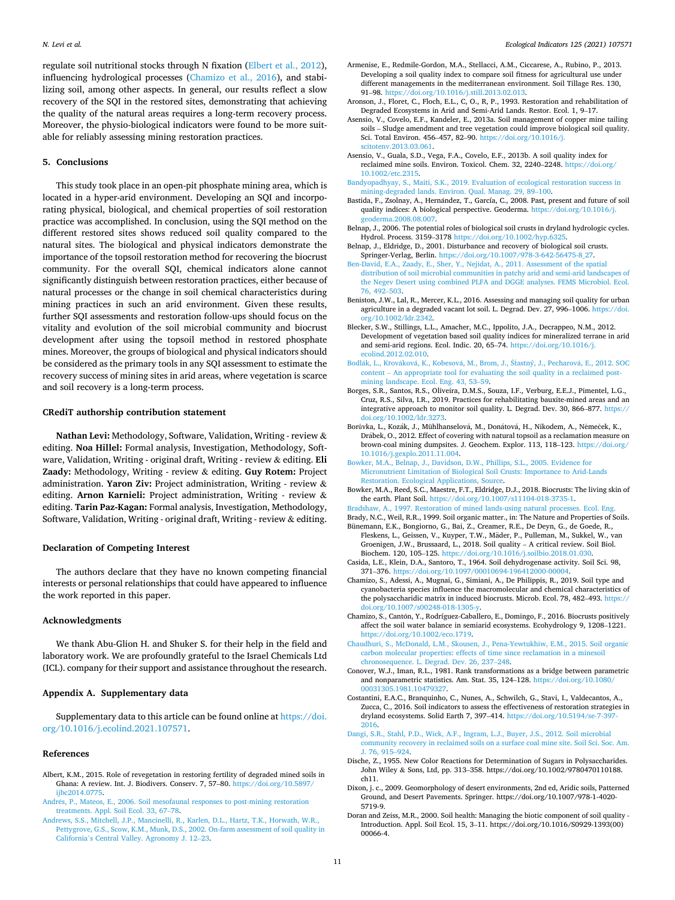<span id="page-10-0"></span>regulate soil nutritional stocks through N fixation [\(Elbert et al., 2012](#page-11-0)), influencing hydrological processes (Chamizo et al., 2016), and stabilizing soil, among other aspects. In general, our results reflect a slow recovery of the SQI in the restored sites, demonstrating that achieving the quality of the natural areas requires a long-term recovery process. Moreover, the physio-biological indicators were found to be more suitable for reliably assessing mining restoration practices.

#### **5. Conclusions**

This study took place in an open-pit phosphate mining area, which is located in a hyper-arid environment. Developing an SQI and incorporating physical, biological, and chemical properties of soil restoration practice was accomplished. In conclusion, using the SQI method on the different restored sites shows reduced soil quality compared to the natural sites. The biological and physical indicators demonstrate the importance of the topsoil restoration method for recovering the biocrust community. For the overall SQI, chemical indicators alone cannot significantly distinguish between restoration practices, either because of natural processes or the change in soil chemical characteristics during mining practices in such an arid environment. Given these results, further SQI assessments and restoration follow-ups should focus on the vitality and evolution of the soil microbial community and biocrust development after using the topsoil method in restored phosphate mines. Moreover, the groups of biological and physical indicators should be considered as the primary tools in any SQI assessment to estimate the recovery success of mining sites in arid areas, where vegetation is scarce and soil recovery is a long-term process.

## **CRediT authorship contribution statement**

**Nathan Levi:** Methodology, Software, Validation, Writing - review & editing. **Noa Hillel:** Formal analysis, Investigation, Methodology, Software, Validation, Writing - original draft, Writing - review & editing. **Eli Zaady:** Methodology, Writing - review & editing. **Guy Rotem:** Project administration. **Yaron Ziv:** Project administration, Writing - review & editing. **Arnon Karnieli:** Project administration, Writing - review & editing. **Tarin Paz-Kagan:** Formal analysis, Investigation, Methodology, Software, Validation, Writing - original draft, Writing - review & editing.

## **Declaration of Competing Interest**

The authors declare that they have no known competing financial interests or personal relationships that could have appeared to influence the work reported in this paper.

# **Acknowledgments**

We thank Abu-Glion H. and Shuker S. for their help in the field and laboratory work. We are profoundly grateful to the Israel Chemicals Ltd (ICL). company for their support and assistance throughout the research.

#### **Appendix A. Supplementary data**

Supplementary data to this article can be found online at [https://doi.](https://doi.org/10.1016/j.ecolind.2021.107571)  [org/10.1016/j.ecolind.2021.107571.](https://doi.org/10.1016/j.ecolind.2021.107571)

#### **References**

- Albert, K.M., 2015. Role of revegetation in restoring fertility of degraded mined soils in Ghana: A review. Int. J. Biodivers. Conserv. 7, 57–80. [https://doi.org/10.5897/](https://doi.org/10.5897/ijbc2014.0775) [ijbc2014.0775](https://doi.org/10.5897/ijbc2014.0775).
- Andrés, P., Mateos, E., 2006. Soil mesofaunal responses to post-mining restoration [treatments. Appl. Soil Ecol. 33, 67](http://refhub.elsevier.com/S1470-160X(21)00236-3/h0010)–78.
- [Andrews, S.S., Mitchell, J.P., Mancinelli, R., Karlen, D.L., Hartz, T.K., Horwath, W.R.,](http://refhub.elsevier.com/S1470-160X(21)00236-3/h0015)  [Pettygrove, G.S., Scow, K.M., Munk, D.S., 2002. On-farm assessment of soil quality in](http://refhub.elsevier.com/S1470-160X(21)00236-3/h0015)  California'[s Central Valley. Agronomy J. 12](http://refhub.elsevier.com/S1470-160X(21)00236-3/h0015)–23.
- Armenise, E., Redmile-Gordon, M.A., Stellacci, A.M., Ciccarese, A., Rubino, P., 2013. Developing a soil quality index to compare soil fitness for agricultural use under different managements in the mediterranean environment. Soil Tillage Res. 130, 91–98. [https://doi.org/10.1016/j.still.2013.02.013.](https://doi.org/10.1016/j.still.2013.02.013)
- Aronson, J., Floret, C., Floch, E.L., C, O., R, P., 1993. Restoration and rehabilitation of Degraded Ecosystems in Arid and Semi-Arid Lands. Restor. Ecol. 1, 9–17.
- Asensio, V., Covelo, E.F., Kandeler, E., 2013a. Soil management of copper mine tailing soils – Sludge amendment and tree vegetation could improve biological soil quality. Sci. Total Environ. 456–457, 82–90. [https://doi.org/10.1016/j.](https://doi.org/10.1016/j.scitotenv.2013.03.061) [scitotenv.2013.03.061.](https://doi.org/10.1016/j.scitotenv.2013.03.061)
- Asensio, V., Guala, S.D., Vega, F.A., Covelo, E.F., 2013b. A soil quality index for reclaimed mine soils. Environ. Toxicol. Chem. 32, 2240–2248. [https://doi.org/](https://doi.org/10.1002/etc.2315) [10.1002/etc.2315](https://doi.org/10.1002/etc.2315).
- [Bandyopadhyay, S., Maiti, S.K., 2019. Evaluation of ecological restoration success in](http://refhub.elsevier.com/S1470-160X(21)00236-3/h0040)  [mining-degraded lands. Environ. Qual. Manag. 29, 89](http://refhub.elsevier.com/S1470-160X(21)00236-3/h0040)–100.
- Bastida, F., Zsolnay, A., Hernández, T., García, C., 2008. Past, present and future of soil quality indices: A biological perspective. Geoderma. [https://doi.org/10.1016/j.](https://doi.org/10.1016/j.geoderma.2008.08.007) [geoderma.2008.08.007](https://doi.org/10.1016/j.geoderma.2008.08.007).
- Belnap, J., 2006. The potential roles of biological soil crusts in dryland hydrologic cycles. Hydrol. Process. 3159–3178 <https://doi.org/10.1002/hyp.6325>.
- Belnap, J., Eldridge, D., 2001. Disturbance and recovery of biological soil crusts. Springer-Verlag, Berlin. [https://doi.org/10.1007/978-3-642-56475-8\\_27.](https://doi.org/10.1007/978-3-642-56475-8_27)
- [Ben-David, E.A., Zaady, E., Sher, Y., Nejidat, A., 2011. Assessment of the spatial](http://refhub.elsevier.com/S1470-160X(21)00236-3/h0060)  [distribution of soil microbial communities in patchy arid and semi-arid landscapes of](http://refhub.elsevier.com/S1470-160X(21)00236-3/h0060)  [the Negev Desert using combined PLFA and DGGE analyses. FEMS Microbiol. Ecol.](http://refhub.elsevier.com/S1470-160X(21)00236-3/h0060)  [76, 492](http://refhub.elsevier.com/S1470-160X(21)00236-3/h0060)–503.
- Beniston, J.W., Lal, R., Mercer, K.L., 2016. Assessing and managing soil quality for urban agriculture in a degraded vacant lot soil. L. Degrad. Dev. 27, 996–1006. [https://doi.](https://doi.org/10.1002/ldr.2342)  [org/10.1002/ldr.2342.](https://doi.org/10.1002/ldr.2342)
- Blecker, S.W., Stillings, L.L., Amacher, M.C., Ippolito, J.A., Decrappeo, N.M., 2012. Development of vegetation based soil quality indices for mineralized terrane in arid and semi-arid regions. Ecol. Indic. 20, 65–74. [https://doi.org/10.1016/j.](https://doi.org/10.1016/j.ecolind.2012.02.010) [ecolind.2012.02.010.](https://doi.org/10.1016/j.ecolind.2012.02.010)
- Bodlák, L., Křováková, K., Kobesová, M., Brom, J., Šťastný, J., Pecharová, E., 2012. SOC content – [An appropriate tool for evaluating the soil quality in a reclaimed post](http://refhub.elsevier.com/S1470-160X(21)00236-3/h0075)[mining landscape. Ecol. Eng. 43, 53](http://refhub.elsevier.com/S1470-160X(21)00236-3/h0075)–59.
- Borges, S.R., Santos, R.S., Oliveira, D.M.S., Souza, I.F., Verburg, E.E.J., Pimentel, L.G., Cruz, R.S., Silva, I.R., 2019. Practices for rehabilitating bauxite-mined areas and an integrative approach to monitor soil quality. L. Degrad. Dev. 30, 866–877. [https://](https://doi.org/10.1002/ldr.3273)  [doi.org/10.1002/ldr.3273](https://doi.org/10.1002/ldr.3273).
- Borůvka, L., Kozák, J., Mühlhanselová, M., Donátová, H., Nikodem, A., Němeček, K., Drábek, O., 2012. Effect of covering with natural topsoil as a reclamation measure on brown-coal mining dumpsites. J. Geochem. Explor. 113, 118–123. [https://doi.org/](https://doi.org/10.1016/j.gexplo.2011.11.004)  [10.1016/j.gexplo.2011.11.004.](https://doi.org/10.1016/j.gexplo.2011.11.004)
- [Bowker, M.A., Belnap, J., Davidson, D.W., Phillips, S.L., 2005. Evidence for](http://refhub.elsevier.com/S1470-160X(21)00236-3/h0090) [Micronutrient Limitation of Biological Soil Crusts: Importance to Arid-Lands](http://refhub.elsevier.com/S1470-160X(21)00236-3/h0090)  [Restoration. Ecological Applications, Source.](http://refhub.elsevier.com/S1470-160X(21)00236-3/h0090)
- Bowker, M.A., Reed, S.C., Maestre, F.T., Eldridge, D.J., 2018. Biocrusts: The living skin of the earth. Plant Soil. [https://doi.org/10.1007/s11104-018-3735-1.](https://doi.org/10.1007/s11104-018-3735-1)
- [Bradshaw, A., 1997. Restoration of mined lands-using natural processes. Ecol. Eng.](http://refhub.elsevier.com/S1470-160X(21)00236-3/h0100)
- Brady, N.C., Weil, R.R., 1999. Soil organic matter., in: The Nature and Properties of Soils. Bünemann, E.K., Bongiorno, G., Bai, Z., Creamer, R.E., De Deyn, G., de Goede, R.,
- Fleskens, L., Geissen, V., Kuyper, T.W., M¨ader, P., Pulleman, M., Sukkel, W., van Groenigen, J.W., Brussaard, L., 2018. Soil quality – A critical review. Soil Biol. Biochem. 120, 105–125. <https://doi.org/10.1016/j.soilbio.2018.01.030>.
- Casida, L.E., Klein, D.A., Santoro, T., 1964. Soil dehydrogenase activity. Soil Sci. 98, 371–376. <https://doi.org/10.1097/00010694-196412000-00004>.
- Chamizo, S., Adessi, A., Mugnai, G., Simiani, A., De Philippis, R., 2019. Soil type and cyanobacteria species influence the macromolecular and chemical characteristics of the polysaccharidic matrix in induced biocrusts. Microb. Ecol. 78, 482–493. https:// doi.org/10.1007/s00248-018-1305-
- Chamizo, S., Canton, Y., Rodríguez-Caballero, E., Domingo, F., 2016. Biocrusts positively ´ affect the soil water balance in semiarid ecosystems. Ecohydrology 9, 1208–1221. <https://doi.org/10.1002/eco.1719>.
- [Chaudhuri, S., McDonald, L.M., Skousen, J., Pena-Yewtukhiw, E.M., 2015. Soil organic](http://refhub.elsevier.com/S1470-160X(21)00236-3/h0130)  [carbon molecular properties: effects of time since reclamation in a minesoil](http://refhub.elsevier.com/S1470-160X(21)00236-3/h0130) [chronosequence. L. Degrad. Dev. 26, 237](http://refhub.elsevier.com/S1470-160X(21)00236-3/h0130)–248.
- Conover, W.J., Iman, R.L., 1981. Rank transformations as a bridge between parametric and nonparametric statistics. Am. Stat. 35, 124–128. [https://doi.org/10.1080/](https://doi.org/10.1080/00031305.1981.10479327)  [00031305.1981.10479327.](https://doi.org/10.1080/00031305.1981.10479327)
- Costantini, E.A.C., Branquinho, C., Nunes, A., Schwilch, G., Stavi, I., Valdecantos, A., Zucca, C., 2016. Soil indicators to assess the effectiveness of restoration strategies in dryland ecosystems. Solid Earth 7, 397–414. [https://doi.org/10.5194/se-7-397-](https://doi.org/10.5194/se-7-397-2016) [2016.](https://doi.org/10.5194/se-7-397-2016)
- [Dangi, S.R., Stahl, P.D., Wick, A.F., Ingram, L.J., Buyer, J.S., 2012. Soil microbial](http://refhub.elsevier.com/S1470-160X(21)00236-3/h0145) [community recovery in reclaimed soils on a surface coal mine site. Soil Sci. Soc. Am.](http://refhub.elsevier.com/S1470-160X(21)00236-3/h0145)  [J. 76, 915](http://refhub.elsevier.com/S1470-160X(21)00236-3/h0145)–924.
- Dische, Z., 1955. New Color Reactions for Determination of Sugars in Polysaccharides. John Wiley & Sons, Ltd, pp. 313–358. https://doi.org/10.1002/9780470110188. ch11.
- Dixon, j. c., 2009. Geomorphology of desert environments, 2nd ed, Aridic soils, Patterned Ground, and Desert Pavements. Springer. https://doi.org/10.1007/978-1-4020- 5719-9.
- Doran and Zeiss, M.R., 2000. Soil health: Managing the biotic component of soil quality Introduction. Appl. Soil Ecol. 15, 3–11. https://doi.org/10.1016/S0929-1393(00) 00066-4.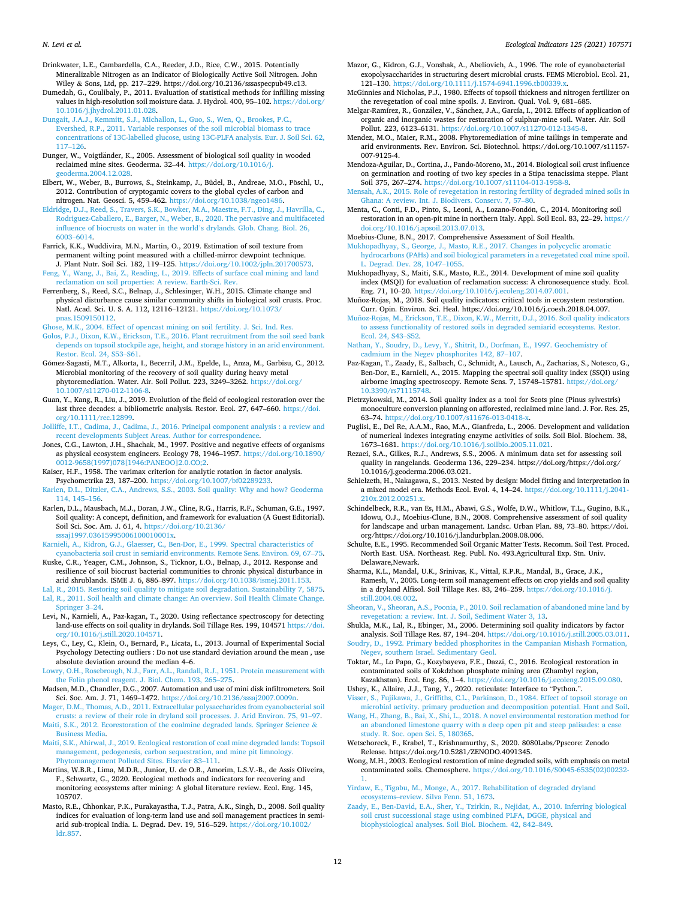<span id="page-11-0"></span>Drinkwater, L.E., Cambardella, C.A., Reeder, J.D., Rice, C.W., 2015. Potentially Mineralizable Nitrogen as an Indicator of Biologically Active Soil Nitrogen. John Wiley & Sons, Ltd, pp. 217–229. https://doi.org/10.2136/sssaspecpub49.c13.

Dumedah, G., Coulibaly, P., 2011. Evaluation of statistical methods for infilling missing values in high-resolution soil moisture data. J. Hydrol. 400, 95-102. https://doi.org [10.1016/j.jhydrol.2011.01.028.](https://doi.org/10.1016/j.jhydrol.2011.01.028)

[Dungait, J.A.J., Kemmitt, S.J., Michallon, L., Guo, S., Wen, Q., Brookes, P.C.,](http://refhub.elsevier.com/S1470-160X(21)00236-3/h0175)  [Evershed, R.P., 2011. Variable responses of the soil microbial biomass to trace](http://refhub.elsevier.com/S1470-160X(21)00236-3/h0175)  [concentrations of 13C-labelled glucose, using 13C-PLFA analysis. Eur. J. Soil Sci. 62,](http://refhub.elsevier.com/S1470-160X(21)00236-3/h0175)  117–[126](http://refhub.elsevier.com/S1470-160X(21)00236-3/h0175).

Dunger, W., Voigtländer, K., 2005. Assessment of biological soil quality in wooded reclaimed mine sites. Geoderma. 32–44. [https://doi.org/10.1016/j.](https://doi.org/10.1016/j.geoderma.2004.12.028)  [geoderma.2004.12.028](https://doi.org/10.1016/j.geoderma.2004.12.028).

Elbert, W., Weber, B., Burrows, S., Steinkamp, J., Büdel, B., Andreae, M.O., Pöschl, U., 2012. Contribution of cryptogamic covers to the global cycles of carbon and nitrogen. Nat. Geosci. 5, 459–462. <https://doi.org/10.1038/ngeo1486>.

[Eldridge, D.J., Reed, S., Travers, S.K., Bowker, M.A., Maestre, F.T., Ding, J., Havrilla, C.,](http://refhub.elsevier.com/S1470-160X(21)00236-3/h0190)  [Rodriguez-Caballero, E., Barger, N., Weber, B., 2020. The pervasive and multifaceted](http://refhub.elsevier.com/S1470-160X(21)00236-3/h0190)  [influence of biocrusts on water in the world](http://refhub.elsevier.com/S1470-160X(21)00236-3/h0190)'s drylands. Glob. Chang. Biol. 26, [6003](http://refhub.elsevier.com/S1470-160X(21)00236-3/h0190)–6014.

Farrick, K.K., Wuddivira, M.N., Martin, O., 2019. Estimation of soil texture from permanent wilting point measured with a chilled-mirror dewpoint technique. J. Plant Nutr. Soil Sci. 182, 119–125.<https://doi.org/10.1002/jpln.201700573>. [Feng, Y., Wang, J., Bai, Z., Reading, L., 2019. Effects of surface coal mining and land](http://refhub.elsevier.com/S1470-160X(21)00236-3/h0200)

[reclamation on soil properties: A review. Earth-Sci. Rev.](http://refhub.elsevier.com/S1470-160X(21)00236-3/h0200) Ferrenberg, S., Reed, S.C., Belnap, J., Schlesinger, W.H., 2015. Climate change and

physical disturbance cause similar community shifts in biological soil crusts. Proc. Natl. Acad. Sci. U. S. A. 112, 12116–12121. [https://doi.org/10.1073/](https://doi.org/10.1073/pnas.1509150112)  [pnas.1509150112](https://doi.org/10.1073/pnas.1509150112).

[Ghose, M.K., 2004. Effect of opencast mining on soil fertility. J. Sci. Ind. Res.](http://refhub.elsevier.com/S1470-160X(21)00236-3/optIwV4UZo73U)

[Golos, P.J., Dixon, K.W., Erickson, T.E., 2016. Plant recruitment from the soil seed bank](http://refhub.elsevier.com/S1470-160X(21)00236-3/h0210)  [depends on topsoil stockpile age, height, and storage history in an arid environment.](http://refhub.elsevier.com/S1470-160X(21)00236-3/h0210)  [Restor. Ecol. 24, S53](http://refhub.elsevier.com/S1470-160X(21)00236-3/h0210)–S61.

Gómez-Sagasti, M.T., Alkorta, I., Becerril, J.M., Epelde, L., Anza, M., Garbisu, C., 2012. Microbial monitoring of the recovery of soil quality during heavy metal phytoremediation. Water. Air. Soil Pollut. 223, 3249–3262. [https://doi.org/](https://doi.org/10.1007/s11270-012-1106-8)  [10.1007/s11270-012-1106-8](https://doi.org/10.1007/s11270-012-1106-8).

Guan, Y., Kang, R., Liu, J., 2019. Evolution of the field of ecological restoration over the last three decades: a bibliometric analysis. Restor. Ecol. 27, 647–660. [https://doi.](https://doi.org/10.1111/rec.12899)  [org/10.1111/rec.12899.](https://doi.org/10.1111/rec.12899)

[Jolliffe, I.T., Cadima, J., Cadima, J., 2016. Principal component analysis : a review and](http://refhub.elsevier.com/S1470-160X(21)00236-3/h0220)  [recent developments Subject Areas. Author for correspondence.](http://refhub.elsevier.com/S1470-160X(21)00236-3/h0220)

Jones, C.G., Lawton, J.H., Shachak, M., 1997. Positive and negative effects of organisms as physical ecosystem engineers. Ecology 78, 1946–1957. [https://doi.org/10.1890/](https://doi.org/10.1890/0012-9658(1997)078[1946:PANEOO]2.0.CO;2)  [0012-9658\(1997\)078\[1946:PANEOO\]2.0.CO;2](https://doi.org/10.1890/0012-9658(1997)078[1946:PANEOO]2.0.CO;2).

Kaiser, H.F., 1958. The varimax criterion for analytic rotation in factor analysis. Psychometrika 23, 187–200. <https://doi.org/10.1007/bf02289233>.

[Karlen, D.L., Ditzler, C.A., Andrews, S.S., 2003. Soil quality: Why and how? Geoderma](http://refhub.elsevier.com/S1470-160X(21)00236-3/h0235) [114, 145](http://refhub.elsevier.com/S1470-160X(21)00236-3/h0235)–156.

Karlen, D.L., Mausbach, M.J., Doran, J.W., Cline, R.G., Harris, R.F., Schuman, G.E., 1997. Soil quality: A concept, definition, and framework for evaluation (A Guest Editorial). Soil Sci. Soc. Am. J. 61, 4. [https://doi.org/10.2136/](https://doi.org/10.2136/sssaj1997.03615995006100010001x) [sssaj1997.03615995006100010001x](https://doi.org/10.2136/sssaj1997.03615995006100010001x).

[Karnieli, A., Kidron, G.J., Glaesser, C., Ben-Dor, E., 1999. Spectral characteristics of](http://refhub.elsevier.com/S1470-160X(21)00236-3/h0245)  [cyanobacteria soil crust in semiarid environments. Remote Sens. Environ. 69, 67](http://refhub.elsevier.com/S1470-160X(21)00236-3/h0245)–75.

Kuske, C.R., Yeager, C.M., Johnson, S., Ticknor, L.O., Belnap, J., 2012. Response and resilience of soil biocrust bacterial communities to chronic physical disturbance in arid shrublands. ISME J. 6, 886–897. [https://doi.org/10.1038/ismej.2011.153.](https://doi.org/10.1038/ismej.2011.153)

[Lal, R., 2015. Restoring soil quality to mitigate soil degradation. Sustainability 7, 5875.](http://refhub.elsevier.com/S1470-160X(21)00236-3/h0255) [Lal, R., 2011. Soil health and climate change: An overview. Soil Health Climate Change.](http://refhub.elsevier.com/S1470-160X(21)00236-3/h0260)  [Springer 3](http://refhub.elsevier.com/S1470-160X(21)00236-3/h0260)–24.

Levi, N., Karnieli, A., Paz-kagan, T., 2020. Using reflectance spectroscopy for detecting land-use effects on soil quality in drylands. Soil Tillage Res. 199, 104571 [https://doi.](https://doi.org/10.1016/j.still.2020.104571)  [org/10.1016/j.still.2020.104571.](https://doi.org/10.1016/j.still.2020.104571)

Leys, C., Ley, C., Klein, O., Bernard, P., Licata, L., 2013. Journal of Experimental Social Psychology Detecting outliers : Do not use standard deviation around the mean , use absolute deviation around the median 4–6.

[Lowry, O.H., Rosebrough, N.J., Farr, A.L., Randall, R.J., 1951. Protein measurement with](http://refhub.elsevier.com/S1470-160X(21)00236-3/h0275)  [the Folin phenol reagent. J. Biol. Chem. 193, 265](http://refhub.elsevier.com/S1470-160X(21)00236-3/h0275)–275.

Madsen, M.D., Chandler, D.G., 2007. Automation and use of mini disk infiltrometers. Soil Sci. Soc. Am. J. 71, 1469–1472. [https://doi.org/10.2136/sssaj2007.0009n.](https://doi.org/10.2136/sssaj2007.0009n)

[Mager, D.M., Thomas, A.D., 2011. Extracellular polysaccharides from cyanobacterial soil](http://refhub.elsevier.com/S1470-160X(21)00236-3/h0285)  [crusts: a review of their role in dryland soil processes. J. Arid Environ. 75, 91](http://refhub.elsevier.com/S1470-160X(21)00236-3/h0285)–97. [Maiti, S.K., 2012. Ecorestoration of the coalmine degraded lands. Springer Science](http://refhub.elsevier.com/S1470-160X(21)00236-3/h0290) &

[Business Media.](http://refhub.elsevier.com/S1470-160X(21)00236-3/h0290) [Maiti, S.K., Ahirwal, J., 2019. Ecological restoration of coal mine degraded lands: Topsoil](http://refhub.elsevier.com/S1470-160X(21)00236-3/h0295) 

[management, pedogenesis, carbon sequestration, and mine pit limnology.](http://refhub.elsevier.com/S1470-160X(21)00236-3/h0295) [Phytomanagement Polluted Sites. Elsevier 83](http://refhub.elsevier.com/S1470-160X(21)00236-3/h0295)–111.

Martins, W.B.R., Lima, M.D.R., Junior, U. de O.B., Amorim, L.S.V.-B., de Assis Oliveira, F., Schwartz, G., 2020. Ecological methods and indicators for recovering and monitoring ecosystems after mining: A global literature review. Ecol. Eng. 145, 105707.

Masto, R.E., Chhonkar, P.K., Purakayastha, T.J., Patra, A.K., Singh, D., 2008. Soil quality indices for evaluation of long-term land use and soil management practices in semiarid sub-tropical India. L. Degrad. Dev. 19, 516–529. [https://doi.org/10.1002/](https://doi.org/10.1002/ldr.857)  [ldr.857](https://doi.org/10.1002/ldr.857).

Mazor, G., Kidron, G.J., Vonshak, A., Abeliovich, A., 1996. The role of cyanobacterial exopolysaccharides in structuring desert microbial crusts. FEMS Microbiol. Ecol. 21, 121–130. <https://doi.org/10.1111/j.1574-6941.1996.tb00339.x>.

McGinnies and Nicholas, P.J., 1980. Effects of topsoil thickness and nitrogen fertilizer on the revegetation of coal mine spoils. J. Environ. Qual. Vol. 9, 681–685.

Melgar-Ramírez, R., González, V., Sánchez, J.A., García, I., 2012. Effects of application of organic and inorganic wastes for restoration of sulphur-mine soil. Water. Air. Soil Pollut. 223, 6123–6131. [https://doi.org/10.1007/s11270-012-1345-8.](https://doi.org/10.1007/s11270-012-1345-8)

Mendez, M.O., Maier, R.M., 2008. Phytoremediation of mine tailings in temperate and arid environments. Rev. Environ. Sci. Biotechnol. https://doi.org/10.1007/s11157- 007-9125-4.

Mendoza-Aguilar, D., Cortina, J., Pando-Moreno, M., 2014. Biological soil crust influence on germination and rooting of two key species in a Stipa tenacissima steppe. Plant Soil 375, 267–274. [https://doi.org/10.1007/s11104-013-1958-8.](https://doi.org/10.1007/s11104-013-1958-8)

[Mensah, A.K., 2015. Role of revegetation in restoring fertility of degraded mined soils in](http://refhub.elsevier.com/S1470-160X(21)00236-3/h0335)  [Ghana: A review. Int. J. Biodivers. Conserv. 7, 57](http://refhub.elsevier.com/S1470-160X(21)00236-3/h0335)–80.

Menta, C., Conti, F.D., Pinto, S., Leoni, A., Lozano-Fondon, C., 2014. Monitoring soil ´ restoration in an open-pit mine in northern Italy. Appl. Soil Ecol. 83, 22–29. https://<br>doi.org/10.1016/i.apsoil.2013.07.013.  $doi.org/10.1016/i.$ ar

Moebius-Clune, B.N., 2017. Comprehensive Assessment of Soil Health.

[Mukhopadhyay, S., George, J., Masto, R.E., 2017. Changes in polycyclic aromatic](http://refhub.elsevier.com/S1470-160X(21)00236-3/h0350) [hydrocarbons \(PAHs\) and soil biological parameters in a revegetated coal mine spoil.](http://refhub.elsevier.com/S1470-160X(21)00236-3/h0350)  [L. Degrad. Dev. 28, 1047](http://refhub.elsevier.com/S1470-160X(21)00236-3/h0350)–1055.

Mukhopadhyay, S., Maiti, S.K., Masto, R.E., 2014. Development of mine soil quality index (MSQI) for evaluation of reclamation success: A chronosequence study. Ecol. Eng. 71, 10–20. <https://doi.org/10.1016/j.ecoleng.2014.07.001>.

Muñoz-Rojas, M., 2018. Soil quality indicators: critical tools in ecosystem restoration. Curr. Opin. Environ. Sci. Heal. https://doi.org/10.1016/j.coesh.2018.04.007.

[Munoz-Rojas, M., Erickson, T.E., Dixon, K.W., Merritt, D.J., 2016. Soil quality indicators](http://refhub.elsevier.com/S1470-160X(21)00236-3/h0365) ˜ [to assess functionality of restored soils in degraded semiarid ecosystems. Restor.](http://refhub.elsevier.com/S1470-160X(21)00236-3/h0365)  [Ecol. 24, S43](http://refhub.elsevier.com/S1470-160X(21)00236-3/h0365)–S52.

[Nathan, Y., Soudry, D., Levy, Y., Shitrit, D., Dorfman, E., 1997. Geochemistry of](http://refhub.elsevier.com/S1470-160X(21)00236-3/h0370)  [cadmium in the Negev phosphorites 142, 87](http://refhub.elsevier.com/S1470-160X(21)00236-3/h0370)–107.

Paz-Kagan, T., Zaady, E., Salbach, C., Schmidt, A., Lausch, A., Zacharias, S., Notesco, G., Ben-Dor, E., Karnieli, A., 2015. Mapping the spectral soil quality index (SSQI) using airborne imaging spectroscopy. Remote Sens. 7, 15748–15781. [https://doi.org/](https://doi.org/10.3390/rs71115748)  [10.3390/rs71115748.](https://doi.org/10.3390/rs71115748)

Pietrzykowski, M., 2014. Soil quality index as a tool for Scots pine (Pinus sylvestris) monoculture conversion planning on afforested, reclaimed mine land. J. For. Res. 25, 63–74. [https://doi.org/10.1007/s11676-013-0418-x.](https://doi.org/10.1007/s11676-013-0418-x)

Puglisi, E., Del Re, A.A.M., Rao, M.A., Gianfreda, L., 2006. Development and validation of numerical indexes integrating enzyme activities of soils. Soil Biol. Biochem. 38, 1673–1681.<https://doi.org/10.1016/j.soilbio.2005.11.021>.

Rezaei, S.A., Gilkes, R.J., Andrews, S.S., 2006. A minimum data set for assessing soil quality in rangelands. Geoderma 136, 229–234. https://doi.org/https://doi.org/ 10.1016/j.geoderma.2006.03.021.

Schielzeth, H., Nakagawa, S., 2013. Nested by design: Model fitting and interpretation in a mixed model era. Methods Ecol. Evol. 4, 14–24. [https://doi.org/10.1111/j.2041-](https://doi.org/10.1111/j.2041-210x.2012.00251.x) [210x.2012.00251.x](https://doi.org/10.1111/j.2041-210x.2012.00251.x).

Schindelbeck, R.R., van Es, H.M., Abawi, G.S., Wolfe, D.W., Whitlow, T.L., Gugino, B.K., Idowu, O.J., Moebius-Clune, B.N., 2008. Comprehensive assessment of soil quality for landscape and urban management. Landsc. Urban Plan. 88, 73–80. https://doi. org/https://doi.org/10.1016/j.landurbplan.2008.08.006.

Schulte, E.E., 1995. Recommended Soil Organic Matter Tests. Recomm. Soil Test. Proced. North East. USA. Northeast. Reg. Publ. No. 493.Agricultural Exp. Stn. Univ. Delaware,Newark.

Sharma, K.L., Mandal, U.K., Srinivas, K., Vittal, K.P.R., Mandal, B., Grace, J.K., Ramesh, V., 2005. Long-term soil management effects on crop yields and soil quality in a dryland Alfisol. Soil Tillage Res. 83, 246–259. [https://doi.org/10.1016/j.](https://doi.org/10.1016/j.still.2004.08.002)  [still.2004.08.002.](https://doi.org/10.1016/j.still.2004.08.002)

[Sheoran, V., Sheoran, A.S., Poonia, P., 2010. Soil reclamation of abandoned mine land by](http://refhub.elsevier.com/S1470-160X(21)00236-3/h0420)  [revegetation: a review. Int. J. Soil, Sediment Water 3, 13](http://refhub.elsevier.com/S1470-160X(21)00236-3/h0420).

Shukla, M.K., Lal, R., Ebinger, M., 2006. Determining soil quality indicators by factor analysis. Soil Tillage Res. 87, 194–204. [https://doi.org/10.1016/j.still.2005.03.011.](https://doi.org/10.1016/j.still.2005.03.011)

[Soudry, D., 1992. Primary bedded phosphorites in the Campanian Mishash Formation,](http://refhub.elsevier.com/S1470-160X(21)00236-3/h0430)  [Negev, southern Israel. Sedimentary Geol.](http://refhub.elsevier.com/S1470-160X(21)00236-3/h0430)

Toktar, M., Lo Papa, G., Kozybayeva, F.E., Dazzi, C., 2016. Ecological restoration in contaminated soils of Kokdzhon phosphate mining area (Zhambyl region, Kazakhstan). Ecol. Eng. 86, 1–4. [https://doi.org/10.1016/j.ecoleng.2015.09.080.](https://doi.org/10.1016/j.ecoleng.2015.09.080)

Ushey, K., Allaire, J.J., Tang, Y., 2020. reticulate: Interface to "Python.".

[Visser, S., Fujikawa, J., Griffiths, C.L., Parkinson, D., 1984. Effect of topsoil storage on](http://refhub.elsevier.com/S1470-160X(21)00236-3/h0445)  [microbial activity. primary production and decomposition potential. Hant and Soil.](http://refhub.elsevier.com/S1470-160X(21)00236-3/h0445)

[Wang, H., Zhang, B., Bai, X., Shi, L., 2018. A novel environmental restoration method for](http://refhub.elsevier.com/S1470-160X(21)00236-3/h0450)  [an abandoned limestone quarry with a deep open pit and steep palisades: a case](http://refhub.elsevier.com/S1470-160X(21)00236-3/h0450)  [study. R. Soc. open Sci. 5, 180365.](http://refhub.elsevier.com/S1470-160X(21)00236-3/h0450)

Wetschoreck, F., Krabel, T., Krishnamurthy, S., 2020. 8080Labs/Ppscore: Zenodo Release. https://doi.org/10.5281/ZENODO.4091345.

Wong, M.H., 2003. Ecological restoration of mine degraded soils, with emphasis on metal contaminated soils. Chemosphere. [https://doi.org/10.1016/S0045-6535\(02\)00232-](https://doi.org/10.1016/S0045-6535(02)00232-1) [1](https://doi.org/10.1016/S0045-6535(02)00232-1).

[Yirdaw, E., Tigabu, M., Monge, A., 2017. Rehabilitation of degraded dryland](http://refhub.elsevier.com/S1470-160X(21)00236-3/h0465) ecosystems–[review. Silva Fenn. 51, 1673](http://refhub.elsevier.com/S1470-160X(21)00236-3/h0465).

[Zaady, E., Ben-David, E.A., Sher, Y., Tzirkin, R., Nejidat, A., 2010. Inferring biological](http://refhub.elsevier.com/S1470-160X(21)00236-3/h0470) oil crust successional stage using combined PLFA, DGGE, physical and [biophysiological analyses. Soil Biol. Biochem. 42, 842](http://refhub.elsevier.com/S1470-160X(21)00236-3/h0470)–849.